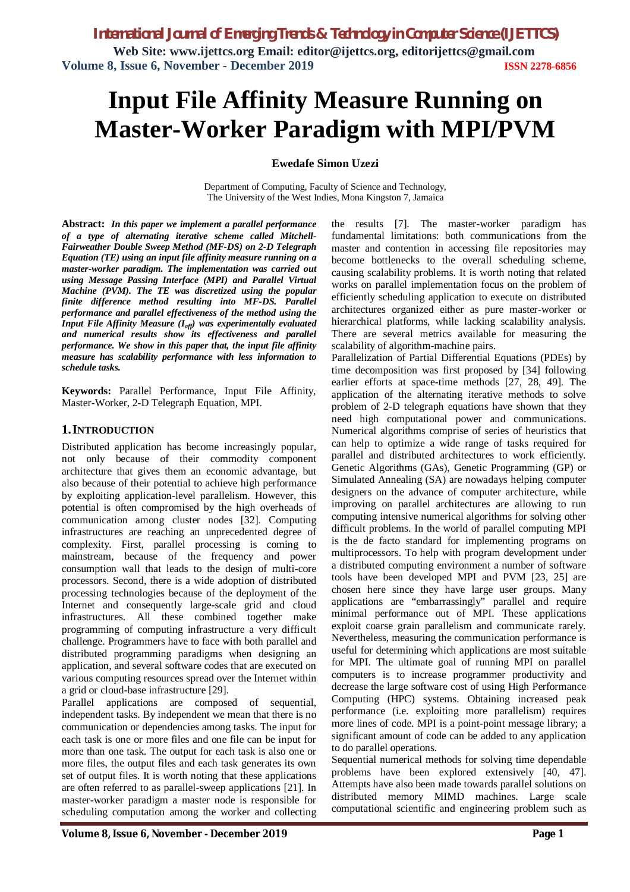**Web Site: www.ijettcs.org Email: editor@ijettcs.org, [editorijettcs@gmail.com](mailto:editorijettcs@gmail.com)  Volume 8, Issue 6, November - December 2019 ISSN 2278-6856**

# **Input File Affinity Measure Running on Master-Worker Paradigm with MPI/PVM**

### **Ewedafe Simon Uzezi**

Department of Computing, Faculty of Science and Technology, The University of the West Indies, Mona Kingston 7, Jamaica

**Abstract:** *In this paper we implement a parallel performance of a type of alternating iterative scheme called Mitchell-Fairweather Double Sweep Method (MF-DS) on 2-D Telegraph Equation (TE) using an input file affinity measure running on a master-worker paradigm. The implementation was carried out using Message Passing Interface (MPI) and Parallel Virtual Machine (PVM). The TE was discretized using the popular finite difference method resulting into MF-DS. Parallel performance and parallel effectiveness of the method using the Input File Affinity Measure (Iaff) was experimentally evaluated and numerical results show its effectiveness and parallel performance. We show in this paper that, the input file affinity measure has scalability performance with less information to schedule tasks.*

**Keywords:** Parallel Performance, Input File Affinity, Master-Worker, 2-D Telegraph Equation, MPI.

#### **1.INTRODUCTION**

Distributed application has become increasingly popular, not only because of their commodity component architecture that gives them an economic advantage, but also because of their potential to achieve high performance by exploiting application-level parallelism. However, this potential is often compromised by the high overheads of communication among cluster nodes [32]. Computing infrastructures are reaching an unprecedented degree of complexity. First, parallel processing is coming to mainstream, because of the frequency and power consumption wall that leads to the design of multi-core processors. Second, there is a wide adoption of distributed processing technologies because of the deployment of the Internet and consequently large-scale grid and cloud infrastructures. All these combined together make programming of computing infrastructure a very difficult challenge. Programmers have to face with both parallel and distributed programming paradigms when designing an application, and several software codes that are executed on various computing resources spread over the Internet within a grid or cloud-base infrastructure [29].

Parallel applications are composed of sequential, independent tasks. By independent we mean that there is no communication or dependencies among tasks. The input for each task is one or more files and one file can be input for more than one task. The output for each task is also one or more files, the output files and each task generates its own set of output files. It is worth noting that these applications are often referred to as parallel-sweep applications [21]. In master-worker paradigm a master node is responsible for scheduling computation among the worker and collecting the results [7]. The master-worker paradigm has fundamental limitations: both communications from the master and contention in accessing file repositories may become bottlenecks to the overall scheduling scheme, causing scalability problems. It is worth noting that related works on parallel implementation focus on the problem of efficiently scheduling application to execute on distributed architectures organized either as pure master-worker or hierarchical platforms, while lacking scalability analysis. There are several metrics available for measuring the scalability of algorithm-machine pairs.

Parallelization of Partial Differential Equations (PDEs) by time decomposition was first proposed by [34] following earlier efforts at space-time methods [27, 28, 49]. The application of the alternating iterative methods to solve problem of 2-D telegraph equations have shown that they need high computational power and communications. Numerical algorithms comprise of series of heuristics that can help to optimize a wide range of tasks required for parallel and distributed architectures to work efficiently. Genetic Algorithms (GAs), Genetic Programming (GP) or Simulated Annealing (SA) are nowadays helping computer designers on the advance of computer architecture, while improving on parallel architectures are allowing to run computing intensive numerical algorithms for solving other difficult problems. In the world of parallel computing MPI is the de facto standard for implementing programs on multiprocessors. To help with program development under a distributed computing environment a number of software tools have been developed MPI and PVM [23, 25] are chosen here since they have large user groups. Many applications are "embarrassingly" parallel and require minimal performance out of MPI. These applications exploit coarse grain parallelism and communicate rarely. Nevertheless, measuring the communication performance is useful for determining which applications are most suitable for MPI. The ultimate goal of running MPI on parallel computers is to increase programmer productivity and decrease the large software cost of using High Performance Computing (HPC) systems. Obtaining increased peak performance (i.e. exploiting more parallelism) requires more lines of code. MPI is a point-point message library; a significant amount of code can be added to any application to do parallel operations.

Sequential numerical methods for solving time dependable problems have been explored extensively [40, 47]. Attempts have also been made towards parallel solutions on distributed memory MIMD machines. Large scale computational scientific and engineering problem such as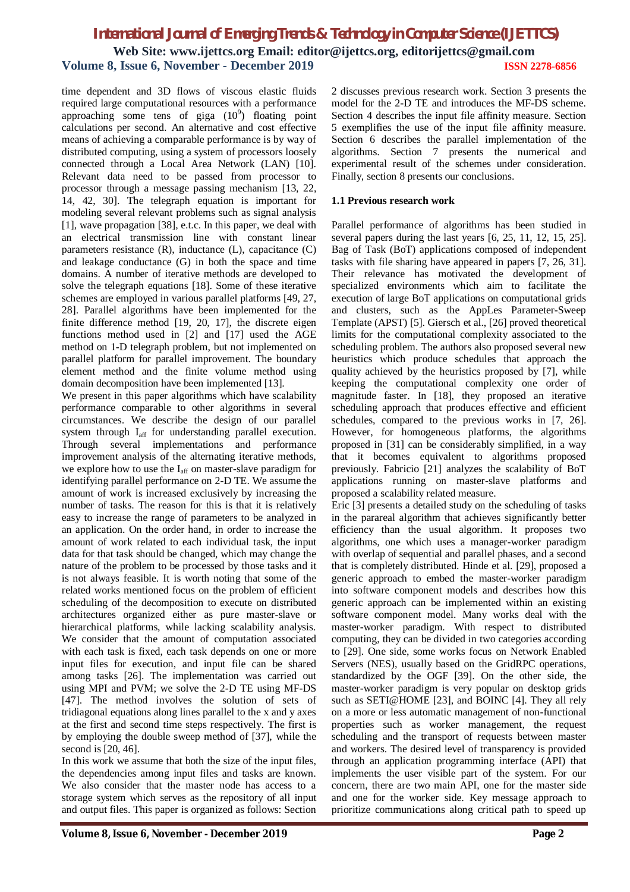time dependent and 3D flows of viscous elastic fluids required large computational resources with a performance approaching some tens of giga  $(10^9)$  floating point calculations per second. An alternative and cost effective means of achieving a comparable performance is by way of distributed computing, using a system of processors loosely connected through a Local Area Network (LAN) [10]. Relevant data need to be passed from processor to processor through a message passing mechanism [13, 22, 14, 42, 30]. The telegraph equation is important for modeling several relevant problems such as signal analysis [1], wave propagation [38], e.t.c. In this paper, we deal with an electrical transmission line with constant linear parameters resistance (R), inductance (L), capacitance (C) and leakage conductance (G) in both the space and time domains. A number of iterative methods are developed to solve the telegraph equations [18]. Some of these iterative schemes are employed in various parallel platforms [49, 27, 28]. Parallel algorithms have been implemented for the finite difference method [19, 20, 17], the discrete eigen functions method used in [2] and [17] used the AGE method on 1-D telegraph problem, but not implemented on parallel platform for parallel improvement. The boundary element method and the finite volume method using domain decomposition have been implemented [13].

We present in this paper algorithms which have scalability performance comparable to other algorithms in several circumstances. We describe the design of our parallel system through I<sub>aff</sub> for understanding parallel execution. Through several implementations and performance improvement analysis of the alternating iterative methods, we explore how to use the I<sub>aff</sub> on master-slave paradigm for identifying parallel performance on 2-D TE. We assume the amount of work is increased exclusively by increasing the number of tasks. The reason for this is that it is relatively easy to increase the range of parameters to be analyzed in an application. On the order hand, in order to increase the amount of work related to each individual task, the input data for that task should be changed, which may change the nature of the problem to be processed by those tasks and it is not always feasible. It is worth noting that some of the related works mentioned focus on the problem of efficient scheduling of the decomposition to execute on distributed architectures organized either as pure master-slave or hierarchical platforms, while lacking scalability analysis. We consider that the amount of computation associated with each task is fixed, each task depends on one or more input files for execution, and input file can be shared among tasks [26]. The implementation was carried out using MPI and PVM; we solve the 2-D TE using MF-DS [47]. The method involves the solution of sets of tridiagonal equations along lines parallel to the x and y axes at the first and second time steps respectively. The first is by employing the double sweep method of [37], while the second is [20, 46].

In this work we assume that both the size of the input files, the dependencies among input files and tasks are known. We also consider that the master node has access to a storage system which serves as the repository of all input and output files. This paper is organized as follows: Section

2 discusses previous research work. Section 3 presents the model for the 2-D TE and introduces the MF-DS scheme. Section 4 describes the input file affinity measure. Section 5 exemplifies the use of the input file affinity measure. Section 6 describes the parallel implementation of the algorithms. Section 7 presents the numerical and experimental result of the schemes under consideration. Finally, section 8 presents our conclusions.

#### **1.1 Previous research work**

Parallel performance of algorithms has been studied in several papers during the last years [6, 25, 11, 12, 15, 25]. Bag of Task (BoT) applications composed of independent tasks with file sharing have appeared in papers [7, 26, 31]. Their relevance has motivated the development of specialized environments which aim to facilitate the execution of large BoT applications on computational grids and clusters, such as the AppLes Parameter-Sweep Template (APST) [5]. Giersch et al., [26] proved theoretical limits for the computational complexity associated to the scheduling problem. The authors also proposed several new heuristics which produce schedules that approach the quality achieved by the heuristics proposed by [7], while keeping the computational complexity one order of magnitude faster. In [18], they proposed an iterative scheduling approach that produces effective and efficient schedules, compared to the previous works in [7, 26]. However, for homogeneous platforms, the algorithms proposed in [31] can be considerably simplified, in a way that it becomes equivalent to algorithms proposed previously. Fabricio [21] analyzes the scalability of BoT applications running on master-slave platforms and proposed a scalability related measure.

Eric [3] presents a detailed study on the scheduling of tasks in the parareal algorithm that achieves significantly better efficiency than the usual algorithm. It proposes two algorithms, one which uses a manager-worker paradigm with overlap of sequential and parallel phases, and a second that is completely distributed. Hinde et al. [29], proposed a generic approach to embed the master-worker paradigm into software component models and describes how this generic approach can be implemented within an existing software component model. Many works deal with the master-worker paradigm. With respect to distributed computing, they can be divided in two categories according to [29]. One side, some works focus on Network Enabled Servers (NES), usually based on the GridRPC operations, standardized by the OGF [39]. On the other side, the master-worker paradigm is very popular on desktop grids such as SETI@HOME [23], and BOINC [4]. They all rely on a more or less automatic management of non-functional properties such as worker management, the request scheduling and the transport of requests between master and workers. The desired level of transparency is provided through an application programming interface (API) that implements the user visible part of the system. For our concern, there are two main API, one for the master side and one for the worker side. Key message approach to prioritize communications along critical path to speed up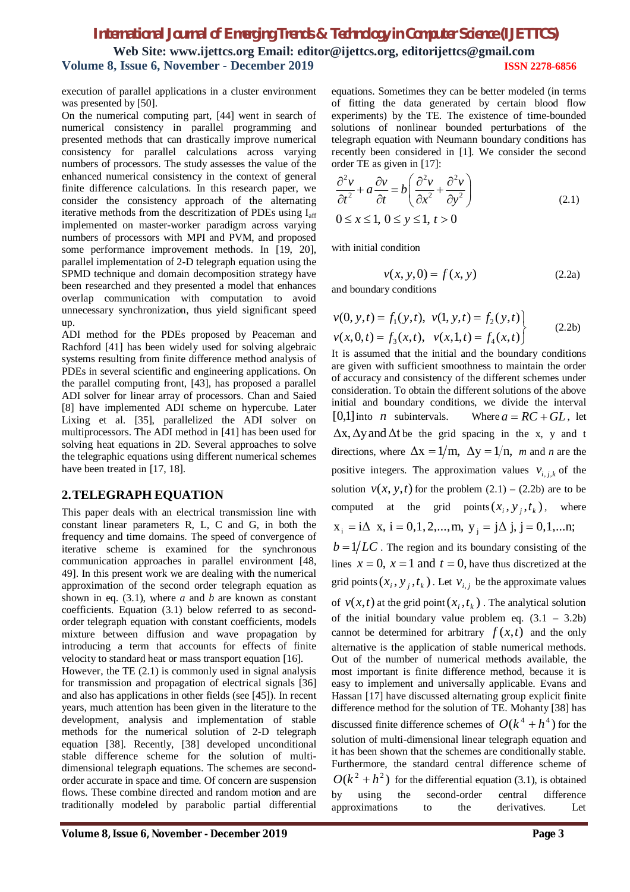execution of parallel applications in a cluster environment was presented by [50].

On the numerical computing part, [44] went in search of numerical consistency in parallel programming and presented methods that can drastically improve numerical consistency for parallel calculations across varying numbers of processors. The study assesses the value of the enhanced numerical consistency in the context of general finite difference calculations. In this research paper, we consider the consistency approach of the alternating iterative methods from the descritization of PDEs using Iaff implemented on master-worker paradigm across varying numbers of processors with MPI and PVM, and proposed some performance improvement methods. In [19, 20], parallel implementation of 2-D telegraph equation using the SPMD technique and domain decomposition strategy have been researched and they presented a model that enhances overlap communication with computation to avoid unnecessary synchronization, thus yield significant speed up.

ADI method for the PDEs proposed by Peaceman and Rachford [41] has been widely used for solving algebraic systems resulting from finite difference method analysis of PDEs in several scientific and engineering applications. On the parallel computing front, [43], has proposed a parallel ADI solver for linear array of processors. Chan and Saied [8] have implemented ADI scheme on hypercube. Later Lixing et al. [35], parallelized the ADI solver on multiprocessors. The ADI method in [41] has been used for solving heat equations in 2D. Several approaches to solve the telegraphic equations using different numerical schemes have been treated in [17, 18].

## **2.TELEGRAPH EQUATION**

This paper deals with an electrical transmission line with constant linear parameters R, L, C and G, in both the frequency and time domains. The speed of convergence of iterative scheme is examined for the synchronous communication approaches in parallel environment [48, 49]. In this present work we are dealing with the numerical approximation of the second order telegraph equation as shown in eq. (3.1), where *a* and *b* are known as constant coefficients. Equation (3.1) below referred to as secondorder telegraph equation with constant coefficients, models mixture between diffusion and wave propagation by introducing a term that accounts for effects of finite velocity to standard heat or mass transport equation [16]. However, the TE (2.1) is commonly used in signal analysis for transmission and propagation of electrical signals [36] and also has applications in other fields (see [45]). In recent years, much attention has been given in the literature to the development, analysis and implementation of stable methods for the numerical solution of 2-D telegraph equation [38]. Recently, [38] developed unconditional

stable difference scheme for the solution of multidimensional telegraph equations. The schemes are secondorder accurate in space and time. Of concern are suspension flows. These combine directed and random motion and are traditionally modeled by parabolic partial differential equations. Sometimes they can be better modeled (in terms of fitting the data generated by certain blood flow experiments) by the TE. The existence of time-bounded solutions of nonlinear bounded perturbations of the telegraph equation with Neumann boundary conditions has recently been considered in [1]. We consider the second order TE as given in [17]:

$$
\frac{\partial^2 v}{\partial t^2} + a \frac{\partial v}{\partial t} = b \left( \frac{\partial^2 v}{\partial x^2} + \frac{\partial^2 v}{\partial y^2} \right)
$$
  
0 \le x \le 1, 0 \le y \le 1, t > 0 (2.1)

with initial condition

$$
v(x, y, 0) = f(x, y)
$$
 (2.2a)

and boundary conditions

$$
v(0, y, t) = f_1(y, t), v(1, y, t) = f_2(y, t)
$$
  

$$
v(x, 0, t) = f_3(x, t), v(x, 1, t) = f_4(x, t)
$$
 (2.2b)

It is assumed that the initial and the boundary conditions are given with sufficient smoothness to maintain the order of accuracy and consistency of the different schemes under consideration. To obtain the different solutions of the above initial and boundary conditions, we divide the interval  $[0,1]$  into *n* subintervals. Where  $a = RC + GL$ , let  $\Delta x$ ,  $\Delta y$  and  $\Delta t$  be the grid spacing in the x, y and t directions, where  $\Delta x = 1/m$ ,  $\Delta y = 1/n$ , *m* and *n* are the positive integers. The approximation values  $v_{i,j,k}$  of the solution  $v(x, y, t)$  for the problem  $(2.1) - (2.2b)$  are to be computed at the grid points  $(x_i, y_j, t_k)$ , where  $x_i = i\Delta x$ ,  $i = 0,1, 2,..., m$ ,  $y_i = j\Delta j$ ,  $j = 0,1,...n$ ;

 $b = 1/LC$ . The region and its boundary consisting of the lines  $x = 0$ ,  $x = 1$  and  $t = 0$ , have thus discretized at the grid points  $(x_i, y_j, t_k)$ . Let  $v_{i,j}$  be the approximate values of  $v(x,t)$  at the grid point  $(x_i, t_k)$ . The analytical solution of the initial boundary value problem eq.  $(3.1 - 3.2b)$ cannot be determined for arbitrary  $f(x,t)$  and the only alternative is the application of stable numerical methods. Out of the number of numerical methods available, the most important is finite difference method, because it is easy to implement and universally applicable. Evans and Hassan [17] have discussed alternating group explicit finite difference method for the solution of TE. Mohanty [38] has discussed finite difference schemes of  $O(k^4 + h^4)$  for the solution of multi-dimensional linear telegraph equation and it has been shown that the schemes are conditionally stable. Furthermore, the standard central difference scheme of  $O(k^2 + h^2)$  for the differential equation (3.1), is obtained by using the second-order central difference approximations to the derivatives. Let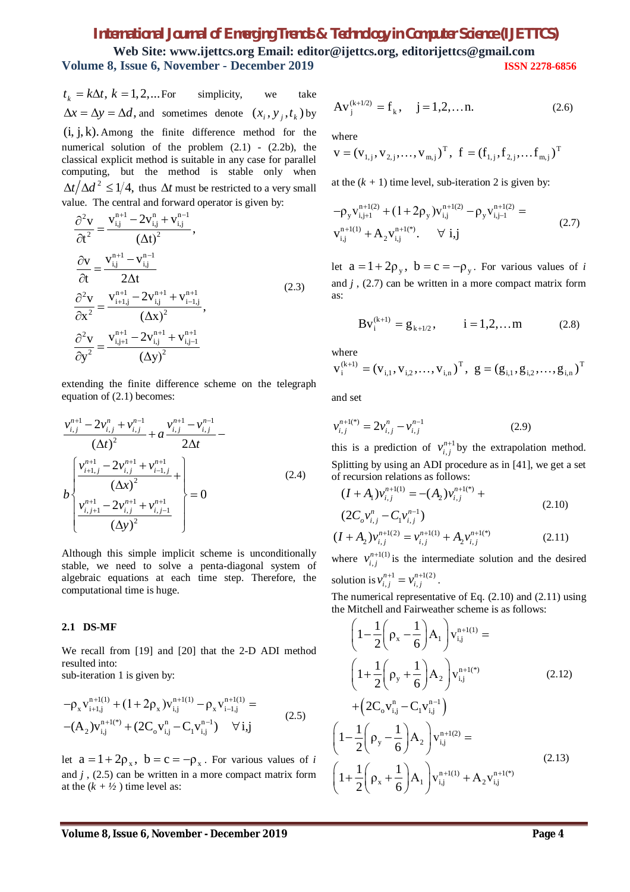# *International Journal of Emerging Trends & Technology in Computer Science (IJETTCS)* **Web Site: www.ijettcs.org Email: editor@ijettcs.org, [editorijettcs@gmail.com](mailto:editorijettcs@gmail.com)**

**Volume 8, Issue 6, November - December 2019 ISSN 2278-6856**

 $t_k = k\Delta t, k = 1, 2, ...$  *For* simplicity, we take  $\Delta x = \Delta y = \Delta d$ , and sometimes denote  $(x_i, y_j, t_k)$  by  $(i, j, k)$ . Among the finite difference method for the numerical solution of the problem  $(2.1)$  -  $(2.2b)$ , the classical explicit method is suitable in any case for parallel computing, but the method is stable only when  $\Delta t / \Delta d^2 \leq 1/4$ , thus  $\Delta t$  must be restricted to a very small value. The central and forward operator is given by:

$$
\frac{\partial^2 \mathbf{v}}{\partial t^2} = \frac{\mathbf{v}_{i,j}^{n+1} - 2\mathbf{v}_{i,j}^n + \mathbf{v}_{i,j}^{n-1}}{(\Delta t)^2},
$$
\n
$$
\frac{\partial \mathbf{v}}{\partial t} = \frac{\mathbf{v}_{i,j}^{n+1} - \mathbf{v}_{i,j}^{n-1}}{2\Delta t}
$$
\n
$$
\frac{\partial^2 \mathbf{v}}{\partial x^2} = \frac{\mathbf{v}_{i+1,j}^{n+1} - 2\mathbf{v}_{i,j}^{n+1} + \mathbf{v}_{i-1,j}^{n+1}}{(\Delta x)^2},
$$
\n
$$
\frac{\partial^2 \mathbf{v}}{\partial y^2} = \frac{\mathbf{v}_{i,j+1}^{n+1} - 2\mathbf{v}_{i,j}^{n+1} + \mathbf{v}_{i,j-1}^{n+1}}{(\Delta y)^2}
$$
\n(2.3)

extending the finite difference scheme on the telegraph equation of (2.1) becomes:

$$
\frac{v_{i,j}^{n+1} - 2v_{i,j}^{n} + v_{i,j}^{n-1}}{(\Delta t)^2} + a \frac{v_{i,j}^{n+1} - v_{i,j}^{n-1}}{2\Delta t} - \frac{\left[\frac{v_{i+1,j}^{n+1} - 2v_{i,j}^{n+1} + v_{i-1,j}^{n+1}}{(\Delta x)^2} + \frac{1}{(\Delta x)^2}\right]}{(\Delta x)^2} = 0
$$
\n
$$
\frac{v_{i,j+1}^{n+1} - 2v_{i,j}^{n+1} + v_{i,j-1}^{n+1}}{(\Delta y)^2}
$$
\n(2.4)

Although this simple implicit scheme is unconditionally stable, we need to solve a penta-diagonal system of algebraic equations at each time step. Therefore, the computational time is huge.

#### **2.1 DS-MF**

We recall from [19] and [20] that the 2-D ADI method resulted into:

sub-iteration 1 is given by:

$$
-\rho_x v_{i+1,j}^{n+1(1)} + (1 + 2\rho_x) v_{i,j}^{n+1(1)} - \rho_x v_{i-1,j}^{n+1(1)} =
$$
  
-(A<sub>2</sub>) $v_{i,j}^{n+1(*)}$  + (2C<sub>o</sub> $v_{i,j}^n$  - C<sub>1</sub> $v_{i,j}^{n-1}$ )  $\forall i,j$  (2.5)

let  $a = 1 + 2\rho_x$ ,  $b = c = -\rho_x$ . For various values of *i* and *j* , (2.5) can be written in a more compact matrix form at the  $(k + \frac{1}{2})$  time level as:

$$
Av_j^{(k+1/2)} = f_k, \quad j = 1, 2, \dots n. \tag{2.6}
$$

where

$$
\mathbf{v} = (\mathbf{v}_{1,j}, \mathbf{v}_{2,j}, \dots, \mathbf{v}_{m,j})^{\mathrm{T}}, \ \mathbf{f} = (\mathbf{f}_{1,j}, \mathbf{f}_{2,j}, \dots, \mathbf{f}_{m,j})^{\mathrm{T}}
$$

at the  $(k + 1)$  time level, sub-iteration 2 is given by:

$$
-\rho_y v_{i,j+1}^{n+1(2)} + (1+2\rho_y) v_{i,j}^{n+1(2)} - \rho_y v_{i,j-1}^{n+1(2)} =
$$
  
\n
$$
v_{i,j}^{n+1(1)} + A_2 v_{i,j}^{n+1(*)}. \qquad \forall i,j
$$
 (2.7)

let  $a = 1 + 2\rho_y$ ,  $b = c = -\rho_y$ . For various values of *i* and  $j$ ,  $(2.7)$  can be written in a more compact matrix form as:

$$
Bv_i^{(k+1)} = g_{k+1/2}, \qquad i = 1, 2, \dots m \tag{2.8}
$$

where

$$
\mathbf{v}_{i}^{(k+1)} = (\mathbf{v}_{i,1}, \mathbf{v}_{i,2}, \dots, \mathbf{v}_{i,n})^{\mathrm{T}}, \ \mathbf{g} = (\mathbf{g}_{i,1}, \mathbf{g}_{i,2}, \dots, \mathbf{g}_{i,n})^{\mathrm{T}}
$$

and set

$$
v_{i,j}^{n+1(*)} = 2v_{i,j}^n - v_{i,j}^{n-1}
$$
 (2.9)

this is a prediction of  $v_{i,j}^{n+1}$  $v_{i,j}^{n+1}$  by the extrapolation method. Splitting by using an ADI procedure as in [41], we get a set of recursion relations as follows:

$$
(I + A1)vi,jn+1(1) = -(A2)vi,jn+1(*) +(2Covi,jn - C1vi,jn-1)
$$
\n(2.10)

$$
(I + A_2)v_{i,j}^{n+1(2)} = v_{i,j}^{n+1(1)} + A_2v_{i,j}^{n+1(*)}
$$
 (2.11)

where  $v_{i,j}^{n+1(1)}$  $v_{i,j}^{n+1(1)}$  is the intermediate solution and the desired solution is  $v_{i,j}^{n+1} = v_{i,j}^{n+1(2)}$  $v_{i,j}^{n+1} = v_{i,j}^{n+1(2)}$ .

The numerical representative of Eq. (2.10) and (2.11) using the Mitchell and Fairweather scheme is as follows:

$$
\left(1 - \frac{1}{2}\left(\rho_{x} - \frac{1}{6}\right)A_{1}\right)v_{i,j}^{n+1(1)} =
$$
\n
$$
\left(1 + \frac{1}{2}\left(\rho_{y} + \frac{1}{6}\right)A_{2}\right)v_{i,j}^{n+1(*)}
$$
\n
$$
+ \left(2C_{o}v_{i,j}^{n} - C_{1}v_{i,j}^{n-1}\right)
$$
\n
$$
\left(1 - \frac{1}{2}\left(\rho_{y} - \frac{1}{6}\right)A_{2}\right)v_{i,j}^{n+1(2)} =
$$
\n
$$
\left(1 + \frac{1}{2}\left(\rho_{x} + \frac{1}{6}\right)A_{1}\right)v_{i,j}^{n+1(1)} + A_{2}v_{i,j}^{n+1(*)}
$$
\n(2.13)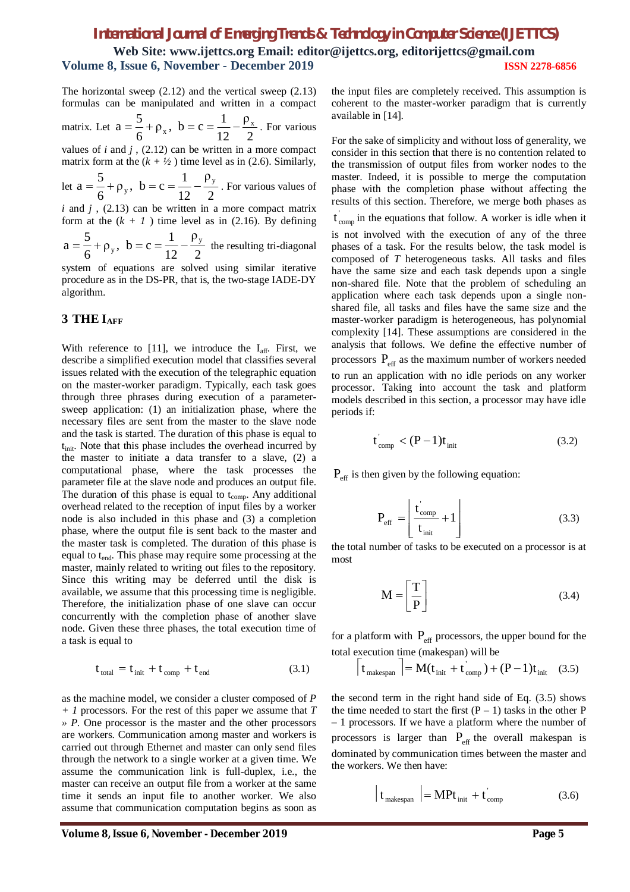The horizontal sweep (2.12) and the vertical sweep (2.13) formulas can be manipulated and written in a compact matrix. Let  $a = \frac{1}{6} + \rho_x$ ,  $b = c = \frac{1}{12} - \frac{1}{2}$ ρ  $p_x$ , b = c =  $\frac{1}{16}$  $a = \frac{5}{6} + \rho_{x}$ ,  $b = c = \frac{1}{12} - \frac{\rho_{x}}{2}$ . For various

12 6 values of *i* and *j* , (2.12) can be written in a more compact matrix form at the  $(k + \frac{1}{2})$  time level as in (2.6). Similarly,

let 
$$
a = \frac{5}{6} + \rho_y
$$
,  $b = c = \frac{1}{12} - \frac{\rho_y}{2}$ . For various values of

*i* and *j* , (2.13) can be written in a more compact matrix form at the  $(k + 1)$  time level as in (2.16). By defining

2 ρ 12  $p_v$ , b = c =  $\frac{1}{16}$ 6  $a = \frac{5}{6} + \rho_y$ ,  $b = c = \frac{1}{12} - \frac{\rho_y}{2}$  the resulting tri-diagonal

system of equations are solved using similar iterative procedure as in the DS-PR, that is, the two-stage IADE-DY algorithm.

# **3 THE IAFF**

With reference to [11], we introduce the  $I<sub>aff</sub>$ . First, we describe a simplified execution model that classifies several issues related with the execution of the telegraphic equation on the master-worker paradigm. Typically, each task goes through three phrases during execution of a parametersweep application: (1) an initialization phase, where the necessary files are sent from the master to the slave node and the task is started. The duration of this phase is equal to tinit. Note that this phase includes the overhead incurred by the master to initiate a data transfer to a slave, (2) a computational phase, where the task processes the parameter file at the slave node and produces an output file. The duration of this phase is equal to  $t_{\text{comp}}$ . Any additional overhead related to the reception of input files by a worker node is also included in this phase and (3) a completion phase, where the output file is sent back to the master and the master task is completed. The duration of this phase is equal to t<sub>end</sub>. This phase may require some processing at the master, mainly related to writing out files to the repository. Since this writing may be deferred until the disk is available, we assume that this processing time is negligible. Therefore, the initialization phase of one slave can occur concurrently with the completion phase of another slave node. Given these three phases, the total execution time of a task is equal to

$$
t_{\text{total}} = t_{\text{init}} + t_{\text{comp}} + t_{\text{end}} \tag{3.1}
$$

as the machine model, we consider a cluster composed of *P + 1* processors. For the rest of this paper we assume that *T » P*. One processor is the master and the other processors are workers. Communication among master and workers is carried out through Ethernet and master can only send files through the network to a single worker at a given time. We assume the communication link is full-duplex, i.e., the master can receive an output file from a worker at the same time it sends an input file to another worker. We also assume that communication computation begins as soon as

the input files are completely received. This assumption is coherent to the master-worker paradigm that is currently available in [14].

For the sake of simplicity and without loss of generality, we consider in this section that there is no contention related to the transmission of output files from worker nodes to the master. Indeed, it is possible to merge the computation phase with the completion phase without affecting the results of this section. Therefore, we merge both phases as

 $t_{\text{comp}}'$  in the equations that follow. A worker is idle when it

is not involved with the execution of any of the three phases of a task. For the results below, the task model is composed of *T* heterogeneous tasks. All tasks and files have the same size and each task depends upon a single non-shared file. Note that the problem of scheduling an application where each task depends upon a single nonshared file, all tasks and files have the same size and the master-worker paradigm is heterogeneous, has polynomial complexity [14]. These assumptions are considered in the analysis that follows. We define the effective number of processors  $P_{\text{eff}}$  as the maximum number of workers needed to run an application with no idle periods on any worker processor. Taking into account the task and platform models described in this section, a processor may have idle periods if:

$$
t_{\rm comp} < (P - 1)t_{\rm init} \tag{3.2}
$$

 $P_{\text{eff}}$  is then given by the following equation:

$$
P_{\rm eff} = \left[ \frac{t_{\rm comp}}{t_{\rm init}} + 1 \right] \tag{3.3}
$$

the total number of tasks to be executed on a processor is at most

$$
\mathbf{M} = \begin{bmatrix} \mathbf{T} \\ \mathbf{P} \end{bmatrix} \tag{3.4}
$$

for a platform with  $P_{\text{eff}}$  processors, the upper bound for the total execution time (makespan) will be

$$
\left| t_{\text{makespan}} \right| = \mathbf{M}(t_{\text{init}} + t_{\text{comp}}) + (\mathbf{P} - 1)t_{\text{init}} \quad (3.5)
$$

the second term in the right hand side of Eq. (3.5) shows the time needed to start the first  $(P - 1)$  tasks in the other P – 1 processors. If we have a platform where the number of processors is larger than  $P_{\text{eff}}$  the overall makespan is dominated by communication times between the master and the workers. We then have:

$$
\begin{bmatrix} t_{\text{makespan}} \end{bmatrix} = \mathbf{MP} t_{\text{init}} + t_{\text{comp}} \tag{3.6}
$$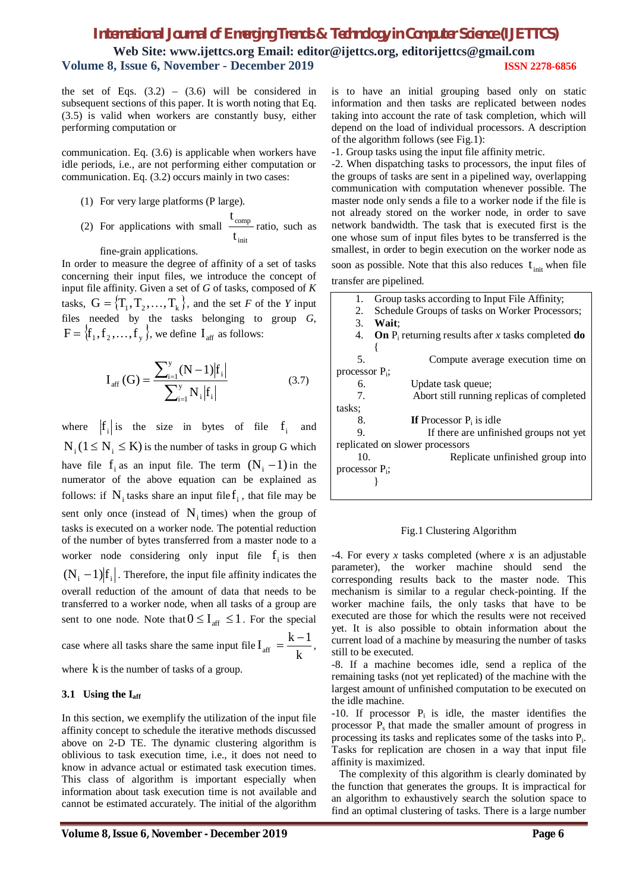**Web Site: www.ijettcs.org Email: editor@ijettcs.org, [editorijettcs@gmail.com](mailto:editorijettcs@gmail.com)  Volume 8, Issue 6, November - December 2019 ISSN 2278-6856**

the set of Eqs.  $(3.2)$  –  $(3.6)$  will be considered in subsequent sections of this paper. It is worth noting that Eq. (3.5) is valid when workers are constantly busy, either performing computation or

communication. Eq. (3.6) is applicable when workers have idle periods, i.e., are not performing either computation or communication. Eq. (3.2) occurs mainly in two cases:

- (1) For very large platforms (P large).
- (2) For applications with small init comp t t ratio, such as

fine-grain applications.

In order to measure the degree of affinity of a set of tasks concerning their input files, we introduce the concept of input file affinity. Given a set of *G* of tasks, composed of *K* tasks,  $G = \{T_1, T_2, ..., T_k\}$ , and the set *F* of the *Y* input files needed by the tasks belonging to group *G*,  $F = \{f_1, f_2, \ldots, f_y\}$ , we define  $I_{\text{aff}}$  as follows:

$$
I_{\text{aff}}\left(G\right) = \frac{\sum_{i=1}^{y} (N-1)|f_i|}{\sum_{i=1}^{y} N_i |f_i|}
$$
(3.7)

where  $|f_i|$  is the size in bytes of file  $f_i$  and  $N_i$  ( $1 \le N_i \le K$ ) is the number of tasks in group G which have file  $f_i$  as an input file. The term  $(N_i - 1)$  in the numerator of the above equation can be explained as follows: if  $N_i$  tasks share an input file  $f_i$ , that file may be sent only once (instead of  $N_i$  times) when the group of tasks is executed on a worker node. The potential reduction of the number of bytes transferred from a master node to a worker node considering only input file  $f_i$  is then  $(N_i - 1)f_i$ . Therefore, the input file affinity indicates the overall reduction of the amount of data that needs to be transferred to a worker node, when all tasks of a group are sent to one node. Note that  $0 \le I_{\text{aff}} \le 1$ . For the special case where all tasks share the same input file  $I_{\text{aff}} = \frac{1}{k}$  $I_{\text{aff}} = \frac{k-1}{l}$  $=\frac{k-1}{l},$ 

where k is the number of tasks of a group.

#### **3.1 Using the Iaff**

In this section, we exemplify the utilization of the input file affinity concept to schedule the iterative methods discussed above on 2-D TE. The dynamic clustering algorithm is oblivious to task execution time, i.e., it does not need to know in advance actual or estimated task execution times. This class of algorithm is important especially when information about task execution time is not available and cannot be estimated accurately. The initial of the algorithm

is to have an initial grouping based only on static information and then tasks are replicated between nodes taking into account the rate of task completion, which will depend on the load of individual processors. A description of the algorithm follows (see Fig.1):

-1. Group tasks using the input file affinity metric.

-2. When dispatching tasks to processors, the input files of the groups of tasks are sent in a pipelined way, overlapping communication with computation whenever possible. The master node only sends a file to a worker node if the file is not already stored on the worker node, in order to save network bandwidth. The task that is executed first is the one whose sum of input files bytes to be transferred is the smallest, in order to begin execution on the worker node as soon as possible. Note that this also reduces  $t_{init}$  when file transfer are pipelined.

| 1.                                        | Group tasks according to Input File Affinity;                       |  |  |  |  |  |  |  |  |
|-------------------------------------------|---------------------------------------------------------------------|--|--|--|--|--|--|--|--|
| 2.                                        | Schedule Groups of tasks on Worker Processors;                      |  |  |  |  |  |  |  |  |
| 3.                                        | Wait:                                                               |  |  |  |  |  |  |  |  |
| 4.                                        | <b>On</b> $P_i$ returning results after x tasks completed <b>do</b> |  |  |  |  |  |  |  |  |
|                                           |                                                                     |  |  |  |  |  |  |  |  |
| .5.                                       | Compute average execution time on                                   |  |  |  |  |  |  |  |  |
| processor $P_i$ ;                         |                                                                     |  |  |  |  |  |  |  |  |
| 6.                                        | Update task queue;                                                  |  |  |  |  |  |  |  |  |
| $7_{\scriptscriptstyle{\ddot{\text{c}}}}$ | Abort still running replicas of completed                           |  |  |  |  |  |  |  |  |
| tasks;                                    |                                                                     |  |  |  |  |  |  |  |  |
| 8.                                        | If Processor $P_i$ is idle                                          |  |  |  |  |  |  |  |  |
| 9.                                        | If there are unfinished groups not yet                              |  |  |  |  |  |  |  |  |
|                                           | replicated on slower processors                                     |  |  |  |  |  |  |  |  |
| 10.                                       | Replicate unfinished group into                                     |  |  |  |  |  |  |  |  |
| processor $P_i$ ;                         |                                                                     |  |  |  |  |  |  |  |  |
|                                           |                                                                     |  |  |  |  |  |  |  |  |
|                                           |                                                                     |  |  |  |  |  |  |  |  |

#### Fig.1 Clustering Algorithm

-4. For every *x* tasks completed (where *x* is an adjustable parameter), the worker machine should send the corresponding results back to the master node. This mechanism is similar to a regular check-pointing. If the worker machine fails, the only tasks that have to be executed are those for which the results were not received yet. It is also possible to obtain information about the current load of a machine by measuring the number of tasks still to be executed.

-8. If a machine becomes idle, send a replica of the remaining tasks (not yet replicated) of the machine with the largest amount of unfinished computation to be executed on the idle machine.

 $-10$ . If processor  $P_i$  is idle, the master identifies the processor Ps that made the smaller amount of progress in processing its tasks and replicates some of the tasks into  $P_i$ . Tasks for replication are chosen in a way that input file affinity is maximized.

 The complexity of this algorithm is clearly dominated by the function that generates the groups. It is impractical for an algorithm to exhaustively search the solution space to find an optimal clustering of tasks. There is a large number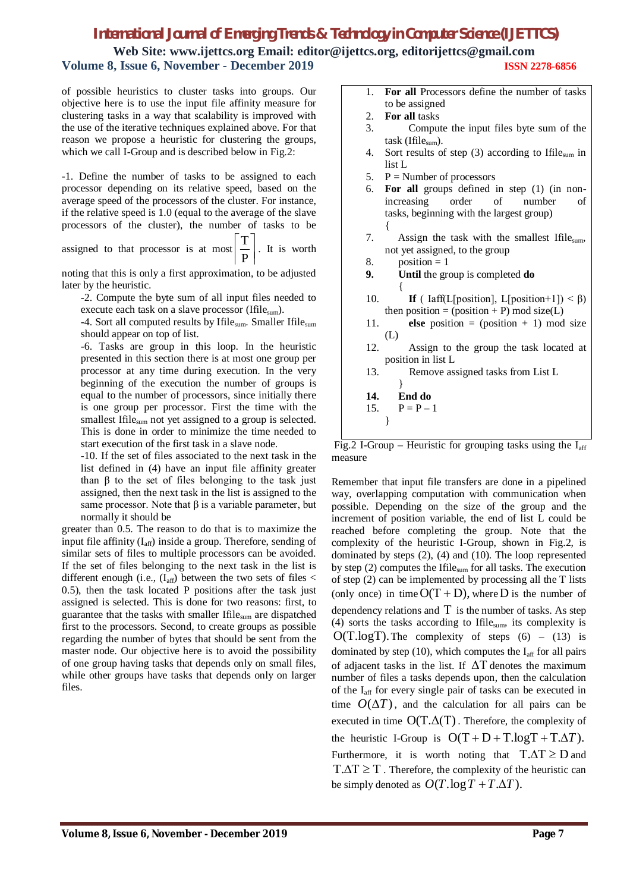**Web Site: www.ijettcs.org Email: editor@ijettcs.org, [editorijettcs@gmail.com](mailto:editorijettcs@gmail.com)  Volume 8, Issue 6, November - December 2019 ISSN 2278-6856**

of possible heuristics to cluster tasks into groups. Our objective here is to use the input file affinity measure for clustering tasks in a way that scalability is improved with the use of the iterative techniques explained above. For that reason we propose a heuristic for clustering the groups, which we call I-Group and is described below in Fig.2:

-1. Define the number of tasks to be assigned to each processor depending on its relative speed, based on the average speed of the processors of the cluster. For instance, if the relative speed is 1.0 (equal to the average of the slave processors of the cluster), the number of tasks to be

assigned to that processor is at most  $\boxed{\frac{-}{P}}$  $\overline{\phantom{a}}$  $\overline{\phantom{a}}$  $\mathbf{r}$ P  $\left\lfloor \frac{T}{T} \right\rfloor$ . It is worth

noting that this is only a first approximation, to be adjusted later by the heuristic.

-2. Compute the byte sum of all input files needed to execute each task on a slave processor (Ifile<sub>sum</sub>).

-4. Sort all computed results by Ifile<sub>sum</sub>. Smaller Ifile<sub>sum</sub> should appear on top of list.

-6. Tasks are group in this loop. In the heuristic presented in this section there is at most one group per processor at any time during execution. In the very beginning of the execution the number of groups is equal to the number of processors, since initially there is one group per processor. First the time with the smallest Ifile<sub>sum</sub> not yet assigned to a group is selected. This is done in order to minimize the time needed to start execution of the first task in a slave node.

-10. If the set of files associated to the next task in the list defined in (4) have an input file affinity greater than β to the set of files belonging to the task just assigned, then the next task in the list is assigned to the same processor. Note that  $\beta$  is a variable parameter, but normally it should be

greater than 0.5. The reason to do that is to maximize the input file affinity  $(I_{\text{aff}})$  inside a group. Therefore, sending of similar sets of files to multiple processors can be avoided. If the set of files belonging to the next task in the list is different enough (i.e.,  $(I_{aff})$  between the two sets of files < 0.5), then the task located P positions after the task just assigned is selected. This is done for two reasons: first, to guarantee that the tasks with smaller Ifilesum are dispatched first to the processors. Second, to create groups as possible regarding the number of bytes that should be sent from the master node. Our objective here is to avoid the possibility of one group having tasks that depends only on small files, while other groups have tasks that depends only on larger files.

| <b>For all Processors define the number of tasks</b> |
|------------------------------------------------------|
| to be assigned                                       |

- 2. **For all** tasks
- 3. Compute the input files byte sum of the task (Ifilesum).
- 4. Sort results of step (3) according to Ifilesum in list L
- 5.  $P =$  Number of processors
- 6. **For all** groups defined in step (1) (in nonincreasing order of number of tasks, beginning with the largest group) {
- 7. Assign the task with the smallest Ifile<sub>sum</sub>, not yet assigned, to the group
- 8. position  $= 1$
- **9. Until** the group is completed **do**  $\{$
- 10. **If** (  $Iaff(L[position], L[position+1]) < \beta$ ) then position = (position + P) mod size(L)
- 11. **else** position =  $(\text{position} + 1) \text{ mod size}$ (L)
- 12. Assign to the group the task located at position in list L
- 13. Remove assigned tasks from List L

| 14. | End do      |
|-----|-------------|
| 15. | $P = P - 1$ |

}

Fig.2 I-Group – Heuristic for grouping tasks using the  $I_{\text{aff}}$ measure

Remember that input file transfers are done in a pipelined way, overlapping computation with communication when possible. Depending on the size of the group and the increment of position variable, the end of list L could be reached before completing the group. Note that the complexity of the heuristic I-Group, shown in Fig.2, is dominated by steps (2), (4) and (10). The loop represented by step  $(2)$  computes the Ifile<sub>sum</sub> for all tasks. The execution of step (2) can be implemented by processing all the T lists (only once) in time  $O(T + D)$ , where D is the number of dependency relations and  $T$  is the number of tasks. As step (4) sorts the tasks according to Ifilesum, its complexity is  $O(T.logT)$ . The complexity of steps  $(6) - (13)$  is dominated by step (10), which computes the  $I_{\text{aff}}$  for all pairs of adjacent tasks in the list. If  $\Delta T$  denotes the maximum number of files a tasks depends upon, then the calculation of the Iaff for every single pair of tasks can be executed in time  $O(\Delta T)$ , and the calculation for all pairs can be executed in time  $O(T.\Delta(T))$ . Therefore, the complexity of the heuristic I-Group is  $O(T + D + T \cdot logT + T \cdot \Delta T)$ . Furthermore, it is worth noting that  $T \Delta T \ge D$  and  $T.\Delta T \geq T$ . Therefore, the complexity of the heuristic can be simply denoted as  $O(T \cdot \log T + T \cdot \Delta T)$ .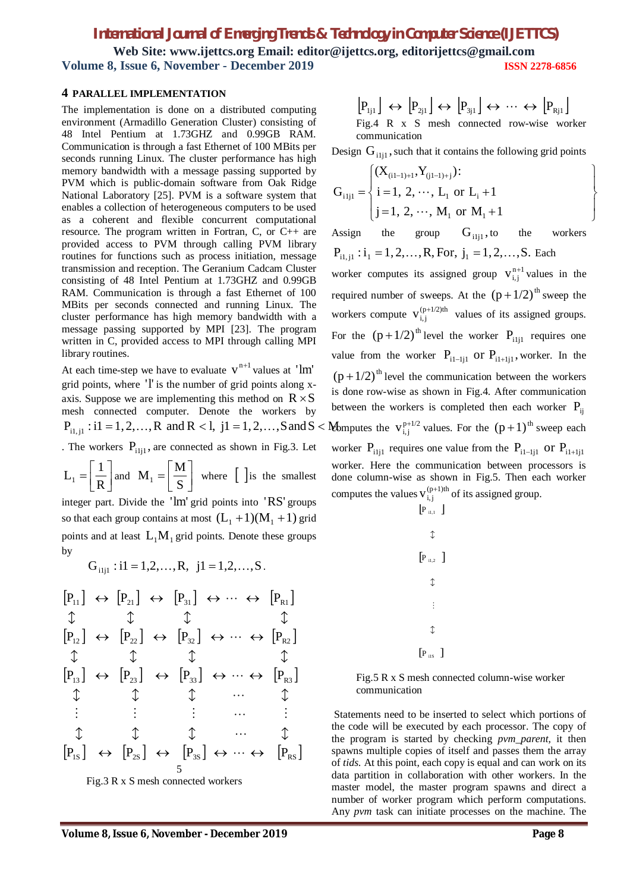**Web Site: www.ijettcs.org Email: editor@ijettcs.org, [editorijettcs@gmail.com](mailto:editorijettcs@gmail.com)  Volume 8, Issue 6, November - December 2019 ISSN 2278-6856**

#### **4 PARALLEL IMPLEMENTATION**

The implementation is done on a distributed computing environment (Armadillo Generation Cluster) consisting of 48 Intel Pentium at 1.73GHZ and 0.99GB RAM. Communication is through a fast Ethernet of 100 MBits per seconds running Linux. The cluster performance has high memory bandwidth with a message passing supported by PVM which is public-domain software from Oak Ridge National Laboratory [25]. PVM is a software system that enables a collection of heterogeneous computers to be used as a coherent and flexible concurrent computational resource. The program written in Fortran, C, or C++ are provided access to PVM through calling PVM library routines for functions such as process initiation, message transmission and reception. The Geranium Cadcam Cluster consisting of 48 Intel Pentium at 1.73GHZ and 0.99GB RAM. Communication is through a fast Ethernet of 100 MBits per seconds connected and running Linux. The cluster performance has high memory bandwidth with a message passing supported by MPI [23]. The program written in C, provided access to MPI through calling MPI library routines.

At each time-step we have to evaluate  $v^{n+1}$  values at 'lm' grid points, where 'l' is the number of grid points along xaxis. Suppose we are implementing this method on  $R \times S$ mesh connected computer. Denote the workers by  $P_{i,j}$ : i1 = 1, 2, ..., R and R < l, j1 = 1, 2, ..., S and S < . The workers  $P_{i,j}$ , are connected as shown in Fig.3. Let  $\rfloor$  $\overline{\phantom{a}}$  $\overline{\phantom{a}}$  $=$ R  $L_1 = \left\lfloor \frac{1}{R} \right\rfloor$  and  $M_1 = \left\lfloor \frac{M}{S} \right\rfloor$  $\overline{\phantom{a}}$  $\overline{\mathsf{L}}$  $=$  $M_1 = \left\lfloor \frac{M}{S} \right\rfloor$  where  $\left[ \right]$  is the smallest integer part. Divide the 'lm' grid points into 'RS' groups so that each group contains at most  $(L_1 + 1)(M_1 + 1)$  grid points and at least  $L_1M_1$  grid points. Denote these groups by

 $G_{i,j}$ : i1 = 1,2,...,R, j1 = 1,2,...,S.

 1S 2S 3S RS 13 23 33 R3 12 22 32 R2 11 21 31 R1 P P P P P P P P P P P P P P P P 5

Fig.3 R x S mesh connected workers

$$
\begin{array}{l} \left[P_{1j1}\right] \leftrightarrow \left[P_{2j1}\right] \leftrightarrow \left[P_{3j1}\right] \leftrightarrow \cdots \leftrightarrow \left[P_{Rj1}\right] \\ \text{Fig.4 R x S mesh connected row-wise worker communication} \end{array}
$$

Design  $G_{i1j1}$ , such that it contains the following grid points

$$
G_{i1j1} = \begin{cases} (X_{(i1-1)+1}, Y_{(j1-1)+j}) : \\ i = 1, 2, \dots, L_1 \text{ or } L_i + 1 \\ j = 1, 2, \dots, M_1 \text{ or } M_1 + 1 \end{cases}
$$

Assign the group  $G_{i,j}$ , to the workers  $P_{i_1 i_1}$ :  $i_1 = 1, 2, ..., R$ , For,  $j_1 = 1, 2, ..., S$ . Each worker computes its assigned group  $v_{i,j}^{n+1}$  values in the required number of sweeps. At the  $(p + 1/2)$ <sup>th</sup> sweep the workers compute  $V_{i,j}^{(p+1/2)th}$  values of its assigned groups. For the  $(p + 1/2)$ <sup>th</sup> level the worker P<sub>ilil</sub> requires one value from the worker  $P_{i_1-i_j}$  or  $P_{i_1+i_j}$ , worker. In the  $(p + 1/2)$ <sup>th</sup> level the communication between the workers is done row-wise as shown in Fig.4. After communication between the workers is completed then each worker  $P_{ii}$ **Example 13** Eventually values. For the  $(p+1)$ <sup>th</sup> sweep each worker  $P_{i1i1}$  requires one value from the  $P_{i1-i1}$  or  $P_{i1+i1}$ worker. Here the communication between processors is done column-wise as shown in Fig.5. Then each worker computes the values  $V_{i,j}^{(p+1)th}$  of its assigned group.  $[P_{i1,1}]$ 



Fig.5 R x S mesh connected column-wise worker communication

Statements need to be inserted to select which portions of the code will be executed by each processor. The copy of the program is started by checking *pvm\_parent,* it then spawns multiple copies of itself and passes them the array of *tids.* At this point, each copy is equal and can work on its data partition in collaboration with other workers. In the master model, the master program spawns and direct a number of worker program which perform computations. Any *pvm* task can initiate processes on the machine. The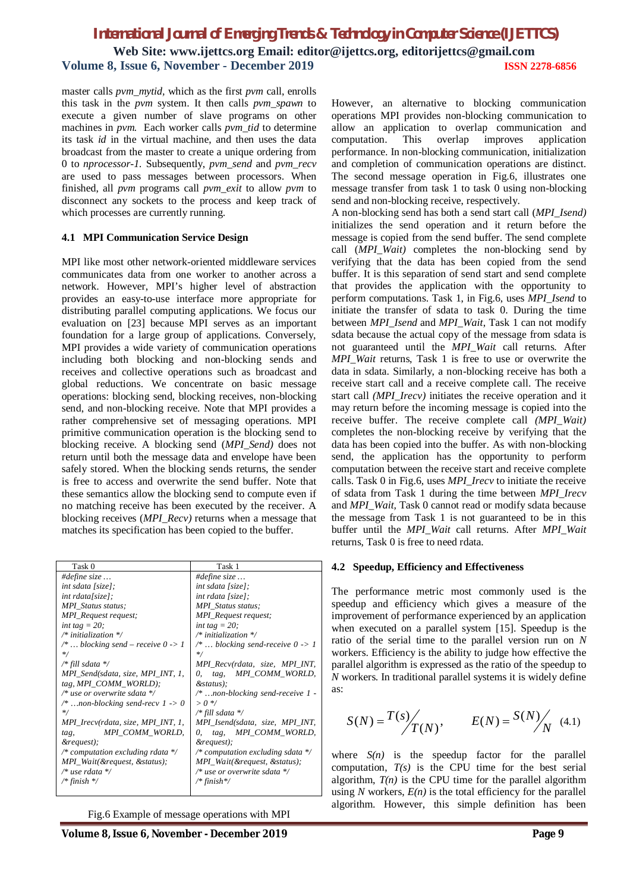master calls *pvm\_mytid,* which as the first *pvm* call, enrolls this task in the *pvm* system. It then calls *pvm\_spawn* to execute a given number of slave programs on other machines in *pvm.* Each worker calls *pvm* tid to determine its task *id* in the virtual machine, and then uses the data broadcast from the master to create a unique ordering from 0 to *nprocessor-1.* Subsequently, *pvm\_send* and *pvm\_recv* are used to pass messages between processors. When finished, all *pvm* programs call *pvm\_exit* to allow *pvm* to disconnect any sockets to the process and keep track of which processes are currently running.

#### **4.1 MPI Communication Service Design**

MPI like most other network-oriented middleware services communicates data from one worker to another across a network. However, MPI's higher level of abstraction provides an easy-to-use interface more appropriate for distributing parallel computing applications. We focus our evaluation on [23] because MPI serves as an important foundation for a large group of applications. Conversely, MPI provides a wide variety of communication operations including both blocking and non-blocking sends and receives and collective operations such as broadcast and global reductions. We concentrate on basic message operations: blocking send, blocking receives, non-blocking send, and non-blocking receive. Note that MPI provides a rather comprehensive set of messaging operations. MPI primitive communication operation is the blocking send to blocking receive. A blocking send (*MPI\_Send)* does not return until both the message data and envelope have been safely stored. When the blocking sends returns, the sender is free to access and overwrite the send buffer. Note that these semantics allow the blocking send to compute even if no matching receive has been executed by the receiver. A blocking receives (*MPI\_Recv)* returns when a message that matches its specification has been copied to the buffer.

| Task 0                                        | Task 1                                       |
|-----------------------------------------------|----------------------------------------------|
| #define size                                  | #define size                                 |
| int sdata [size];                             | $int$ sdata [size];                          |
| $int$ rdata[size];                            | $int$ rdata [size];                          |
| <b>MPI</b> Status status:                     | <b>MPI</b> Status status;                    |
| MPI_Request request;                          | MPI_Request request;                         |
| int tag = $20$ ;                              | int tag = $20$ ;                             |
| /* initialization $*/$                        | /* initialization $*/$                       |
| /*  blocking send – receive $0 \rightarrow 1$ | $/* \dots$ blocking send-receive $0 \geq 1$  |
| $\ast/$                                       | $\ast/$                                      |
| /* fill sdata */                              | MPI_Recv(rdata, size, MPI_INT,               |
| MPI_Send(sdata, size, MPI_INT, 1,             | MPI_COMM_WORLD,<br>$\theta$ , tag,           |
| tag, $MPI\_COMM\_WORLD$ ;                     | &status);                                    |
| $/*$ use or overwrite sdata $*/$              | /* non-blocking send-receive 1 -             |
| /* non-blocking send-recv $1 \rightarrow 0$   | $> 0$ */                                     |
| $\ast/$                                       | /* fill sdata */                             |
| MPI_Irecv(rdata, size, MPI_INT, 1,            | MPI_Isend(sdata, size, MPI_INT,              |
| MPI_COMM_WORLD,<br>tag,                       | tag, MPI_COMM_WORLD,<br>0.                   |
| &request);                                    | &request);                                   |
| /* computation excluding rdata $\frac{*}{ }$  | /* computation excluding sdata $\frac{k}{4}$ |
| MPI_Wait(&request, &status);                  | MPI_Wait(&request, &status);                 |
| $/*$ use rdata */                             | /* use or overwrite sdata */                 |
| /* finish */                                  | /* finish*/                                  |
|                                               |                                              |

Fig.6 Example of message operations with MPI

However, an alternative to blocking communication operations MPI provides non-blocking communication to allow an application to overlap communication and computation. This overlap improves application performance. In non-blocking communication, initialization and completion of communication operations are distinct. The second message operation in Fig.6, illustrates one message transfer from task 1 to task 0 using non-blocking send and non-blocking receive, respectively.

A non-blocking send has both a send start call (*MPI\_Isend)*  initializes the send operation and it return before the message is copied from the send buffer. The send complete call (*MPI\_Wait)* completes the non-blocking send by verifying that the data has been copied from the send buffer. It is this separation of send start and send complete that provides the application with the opportunity to perform computations. Task 1, in Fig.6, uses *MPI\_Isend* to initiate the transfer of sdata to task 0. During the time between *MPI\_Isend* and *MPI\_Wait*, Task 1 can not modify sdata because the actual copy of the message from sdata is not guaranteed until the *MPI\_Wait* call returns. After *MPI Wait returns*, Task 1 is free to use or overwrite the data in sdata. Similarly, a non-blocking receive has both a receive start call and a receive complete call. The receive start call *(MPI\_Irecv)* initiates the receive operation and it may return before the incoming message is copied into the receive buffer. The receive complete call *(MPI\_Wait)*  completes the non-blocking receive by verifying that the data has been copied into the buffer. As with non-blocking send, the application has the opportunity to perform computation between the receive start and receive complete calls. Task 0 in Fig.6, uses *MPI\_Irecv* to initiate the receive of sdata from Task 1 during the time between *MPI\_Irecv*  and *MPI\_Wait,* Task 0 cannot read or modify sdata because the message from Task 1 is not guaranteed to be in this buffer until the *MPI\_Wait* call returns. After *MPI\_Wait* returns, Task 0 is free to need rdata.

#### **4.2 Speedup, Efficiency and Effectiveness**

The performance metric most commonly used is the speedup and efficiency which gives a measure of the improvement of performance experienced by an application when executed on a parallel system [15]. Speedup is the ratio of the serial time to the parallel version run on *N* workers. Efficiency is the ability to judge how effective the parallel algorithm is expressed as the ratio of the speedup to *N* workers. In traditional parallel systems it is widely define as:

$$
S(N) = \frac{T(s)}{T(N)},
$$
  $E(N) = \frac{S(N)}{N}$  (4.1)

where  $S(n)$  is the speedup factor for the parallel computation,  $T(s)$  is the CPU time for the best serial algorithm,  $T(n)$  is the CPU time for the parallel algorithm using  $N$  workers,  $E(n)$  is the total efficiency for the parallel algorithm. However, this simple definition has been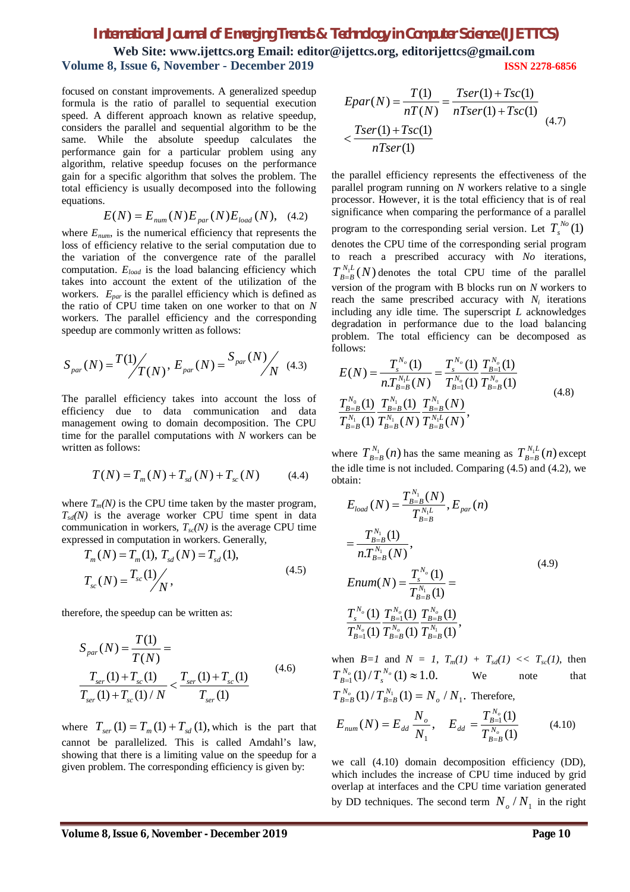**Web Site: www.ijettcs.org Email: editor@ijettcs.org, [editorijettcs@gmail.com](mailto:editorijettcs@gmail.com)  Volume 8, Issue 6, November - December 2019 ISSN 2278-6856**

focused on constant improvements. A generalized speedup formula is the ratio of parallel to sequential execution speed. A different approach known as relative speedup, considers the parallel and sequential algorithm to be the same. While the absolute speedup calculates the performance gain for a particular problem using any algorithm, relative speedup focuses on the performance gain for a specific algorithm that solves the problem. The total efficiency is usually decomposed into the following equations.

$$
E(N) = E_{num}(N)E_{par}(N)E_{load}(N), \quad (4.2)
$$

where *Enum*, is the numerical efficiency that represents the loss of efficiency relative to the serial computation due to the variation of the convergence rate of the parallel computation. *Eload* is the load balancing efficiency which takes into account the extent of the utilization of the workers. *Epar* is the parallel efficiency which is defined as the ratio of CPU time taken on one worker to that on *N* workers. The parallel efficiency and the corresponding speedup are commonly written as follows:

$$
S_{par}(N) = \frac{T(1)}{T(N)}, E_{par}(N) = \frac{S_{par}(N)}{N}
$$
 (4.3)

The parallel efficiency takes into account the loss of efficiency due to data communication and data management owing to domain decomposition. The CPU time for the parallel computations with *N* workers can be written as follows:

$$
T(N) = T_m(N) + T_{sd}(N) + T_{sc}(N) \tag{4.4}
$$

where  $T_m(N)$  is the CPU time taken by the master program,  $T_{sd}(N)$  is the average worker CPU time spent in data communication in workers,  $T_{sc}(N)$  is the average CPU time expressed in computation in workers. Generally,

$$
T_m(N) = T_m(1), T_{sd}(N) = T_{sd}(1),
$$
  
\n
$$
T_{sc}(N) = \frac{T_{sc}(1)}{N},
$$
\n(4.5)

therefore, the speedup can be written as:

$$
S_{par}(N) = \frac{T(1)}{T(N)} =
$$
  

$$
\frac{T_{ser}(1) + T_{sc}(1)}{T_{ser}(1) + T_{sc}(1)/N} < \frac{T_{ser}(1) + T_{sc}(1)}{T_{ser}(1)}
$$
(4.6)

where  $T_{\text{ser}}(1) = T_m(1) + T_{\text{sd}}(1)$ , which is the part that cannot be parallelized. This is called Amdahl's law, showing that there is a limiting value on the speedup for a given problem. The corresponding efficiency is given by:

$$
Epar(N) = \frac{T(1)}{nT(N)} = \frac{Tser(1) + Tsc(1)}{nTser(1) + Tsc(1)}
$$
  
< 
$$
< \frac{Tser(1) + Tsc(1)}{nTser(1)}
$$
 (4.7)

the parallel efficiency represents the effectiveness of the parallel program running on *N* workers relative to a single processor. However, it is the total efficiency that is of real significance when comparing the performance of a parallel program to the corresponding serial version. Let  $T_s^{N_o}(1)$ denotes the CPU time of the corresponding serial program to reach a prescribed accuracy with *No* iterations,  $T_{B=B}^{N_1L}(N)$  $B_{B=B}^{N_1L}(N)$  denotes the total CPU time of the parallel version of the program with B blocks run on *N* workers to reach the same prescribed accuracy with  $N_i$  iterations including any idle time. The superscript *L* acknowledges degradation in performance due to the load balancing problem. The total efficiency can be decomposed as follows:

$$
E(N) = \frac{T_s^{N_o}(1)}{n T_{B=B}^{N_1}(N)} = \frac{T_s^{N_o}(1)}{T_{B=1}^{N_o}(1)} \frac{T_{B=1}^{N_o}(1)}{T_{B=B}^{N_o}(1)} \n\frac{T_{B=B}^{N_o}(1)}{T_{B=B}^{N_1}(1)} \frac{T_{B=B}^{N_1}(N)}{T_{B=B}^{N_1}(N)} \frac{T_{B=B}^{N_1}(N)}{T_{B=B}^{N_1}(N)},
$$
\n(4.8)

where  $T_{B=B}^{N_1}(n)$  $T_{B=B}^{N_1}(n)$  has the same meaning as  $T_{B=B}^{N_1L}(n)$  $\int_{B=B}^{N_1L} (n)$  except the idle time is not included. Comparing (4.5) and (4.2), we obtain:

$$
E_{load}(N) = \frac{T_{B=B}^{N_1}(N)}{T_{B=B}^{N_1L}}, E_{par}(n)
$$
  
\n
$$
= \frac{T_{B=B}^{N_1}(1)}{nT_{B=B}^{N_1}(N)},
$$
  
\n
$$
Enum(N) = \frac{T_s^{N_o}(1)}{T_{B=B}^{N_1}(1)} =
$$
  
\n
$$
\frac{T_s^{N_o}(1)}{T_{B=1}^{N_o}(1)} \frac{T_{B=B}^{N_o}(1)}{T_{B=B}^{N_o}(1)} \frac{T_{B=B}^{N_o}(1)}{T_{B=B}^{N_1}(1)},
$$
  
\n(4.9)

when  $B=I$  and  $N = I$ ,  $T_m(I) + T_{sd}(I) \ll T_{sc}(I)$ , then  $\int_{-1}^{V_o} (1) / T_s^{N_o}(1) \approx 1.0.$  $T_{B=1}^{N_o}(1)/T_s^{N_o}(1) \approx 1.0.$  We note that  $T_{B=B}^{N_o}(1)/T_{B=B}^{N_1}(1) = N_o/N_1.$ *B B N*  $\int_{B=B}^{N_o} (1) / T_{B=B}^{N_1} (1) = N_o / N_1$ . Therefore, (1)  $(N) = E_{dd} \frac{N_o}{N}$ ,  $E_{dd} = \frac{T_{B=1}^{N_o}(1)}{T_{A}^{N_o}(1)}$ 1 and  $T_{B=1}^{N_o}$ *o N B B N*  $B_{d}$   $\frac{H}{N_1}$   $\frac{H}{N_1}$   $\frac{H}{N_2}$   $\frac{H}{N_1}$  $E_{dd} = \frac{T}{T}$ *N N*  $E_{num}(N) = E$ =  $E_{dd} = E_{dd} \frac{N_{o}}{N_{c}}$ ,  $E_{dd} = \frac{I_{B=1}(1)}{N_{c}}$  (4.10)

we call (4.10) domain decomposition efficiency (DD), which includes the increase of CPU time induced by grid overlap at interfaces and the CPU time variation generated by DD techniques. The second term  $N_o/N_1$  in the right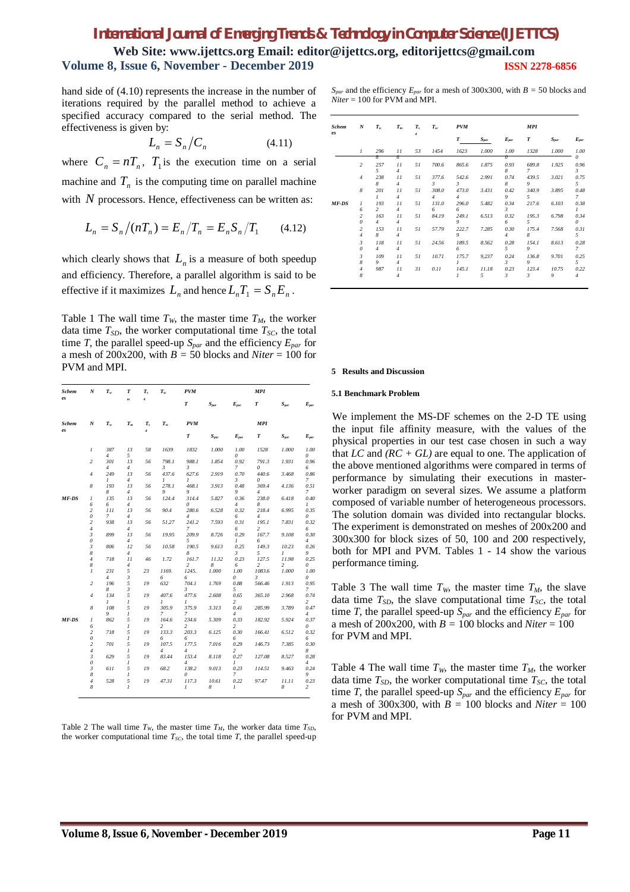**Web Site: www.ijettcs.org Email: editor@ijettcs.org, [editorijettcs@gmail.com](mailto:editorijettcs@gmail.com)  Volume 8, Issue 6, November - December 2019 ISSN 2278-6856**

hand side of (4.10) represents the increase in the number of iterations required by the parallel method to achieve a specified accuracy compared to the serial method. The effectiveness is given by:

$$
L_n = S_n / C_n \tag{4.11}
$$

where  $C_n = nT_n$ ,  $T_1$  is the execution time on a serial machine and  $T<sub>n</sub>$  is the computing time on parallel machine with  $N$  processors. Hence, effectiveness can be written as:

$$
L_n = S_n / (nT_n) = E_n / T_n = E_n S_n / T_1 \qquad (4.12)
$$

which clearly shows that  $L_n$  is a measure of both speedup and efficiency. Therefore, a parallel algorithm is said to be effective if it maximizes  $L_n$  and hence  $L_n T_1 = S_n E_n$ .

Table 1 The wall time  $T_W$ , the master time  $T_M$ , the worker data time  $T_{SD}$ , the worker computational time  $T_{SC}$ , the total time *T*, the parallel speed-up *Spar* and the efficiency *Epar* for a mesh of 200x200, with  $B = 50$  blocks and *Niter* = 100 for PVM and MPI.

| Schem        | N                                              | $T_{w}$                    | T                          | $T_{s}$          | $T_{sc}$        | <b>PVM</b>                       |                |                             | <b>MPI</b>               |                |                             |
|--------------|------------------------------------------------|----------------------------|----------------------------|------------------|-----------------|----------------------------------|----------------|-----------------------------|--------------------------|----------------|-----------------------------|
| es           |                                                |                            | m                          | $\overline{d}$   |                 | $\pmb{T}$                        | $S_{par}$      | $E_{par}$                   | T                        | $S_{par}$      | $E_{par}$                   |
| <b>Schem</b> | N                                              | $T_w$                      | $T_m$                      | $T_{s}$          | $T_{sc}$        | <b>PVM</b>                       |                |                             | <b>MPI</b>               |                |                             |
| es           |                                                |                            |                            | $\boldsymbol{d}$ |                 | $\pmb{T}$                        | $S_{par}$      | $E_{par}$                   | $\boldsymbol{T}$         | $S_{par}$      | $E_{par}$                   |
|              | $\mathcal{I}$                                  | 387                        | 13                         | 58               | 1639            | 1832                             | $I.000\,$      | $1.00\,$                    | 1528                     | 1.000          | 1.00                        |
|              | $\sqrt{2}$                                     | 4<br>301<br>$\overline{4}$ | 5<br>13<br>$\overline{4}$  | 56               | 798.1<br>3      | 988.1<br>3                       | 1.854          | 0<br>0.92<br>7              | 791.3<br>0               | 1.931          | 0<br>0.96<br>6              |
|              | $\overline{4}$                                 | 249<br>1                   | 13<br>4                    | 56               | 437.6<br>1      | 627.6<br>1                       | 2.919          | 0.70<br>3                   | 440.6<br>0               | 3.468          | 0.86<br>7                   |
|              | 8                                              | 193<br>8                   | 13<br>4                    | 56               | 278.1<br>9      | 468.1<br>9                       | 3.913          | 0.48<br>9                   | 369.4<br>4               | 4.136          | 0.51<br>7                   |
| MF-DS        | 1<br>6                                         | 135<br>6                   | 13<br>4                    | 56               | 124.4           | 314.4<br>0                       | 5.827          | 0.36<br>4                   | 238.0<br>8               | 6.418          | 0.40<br>1                   |
|              | $\sqrt{2}$<br>$\theta$                         | III<br>7                   | 13<br>4                    | 56               | 90.4            | 280.6<br>$\overline{4}$          | 6.528          | 0.32<br>6                   | 218.4<br>$\overline{4}$  | 6.995          | 0.35<br>0                   |
|              | $\sqrt{2}$<br>$\overline{4}$<br>$\mathfrak{z}$ | 938<br>899                 | 13<br>$\overline{4}$<br>13 | 56<br>56         | 51.27<br>19.95  | 241.2<br>7<br>209.9              | 7.593<br>8.726 | 0.31<br>6<br>0.29           | 195.1<br>2<br>167.7      | 7.831<br>9.108 | 0.32<br>6<br>0.30           |
|              | $\theta$<br>$\mathfrak{z}$                     | 806                        | 4<br>12                    | 56               | 10.58           | 5<br>190.5                       | 9.613          | 1<br>0.25                   | 6<br>149.3               | 10.23          | 4<br>0.26                   |
|              | 8<br>$\overline{4}$                            | 718                        | $\overline{4}$<br>11       | 46               | 1.72            | 8<br>161.7                       | 11.32          | 3<br>0.23                   | 5<br>127.5               | 1<br>11.98     | 9<br>0.25                   |
|              | 8<br>1                                         | 231                        | 4<br>5                     | 23               | 1169.           | $\overline{c}$<br>1245.          | 8<br>1.000     | 6<br>1.00                   | $\overline{c}$<br>1083.6 | 2<br>1.000     | 0<br>$1.00\,$               |
|              | $\overline{c}$                                 | $\overline{4}$<br>196      | 3<br>5                     | 19               | 6<br>632        | 6<br>704.1                       | 1.769          | 0<br>0.88                   | 3<br>566.46              | 1.913          | 0<br>0.95                   |
|              | $\overline{4}$                                 | 8<br>134                   | 3<br>5                     | 19               | 407.6           | 3<br>477.6                       | 2.608          | 5<br>0.65                   | 365.10                   | 2.968          | 7<br>0.74                   |
|              | 8                                              | 1<br>108<br>9              | 1<br>5<br>1                | 19               | 1<br>305.9<br>7 | 1<br>375.9<br>7                  | 3.313          | 2<br>0.41<br>$\overline{4}$ | 285.99                   | 3.789          | 2<br>0.47<br>$\overline{4}$ |
| MF-DS        | 1<br>6                                         | 862                        | 5<br>1                     | 19               | 164.6<br>2      | 234.6<br>2                       | 5.309          | 0.33<br>2                   | 182.92                   | 5.924          | 0.37<br>0                   |
|              | $\overline{c}$<br>$\boldsymbol{\mathit{0}}$    | 718                        | 5<br>1                     | 19               | 133.3<br>6      | 203.3<br>6                       | 6.125          | 0.30<br>6                   | 166.41                   | 6.512          | 0.32<br>6                   |
|              | $\overline{c}$<br>$\overline{4}$               | 701                        | 5<br>1                     | 19               | 107.5<br>4      | 177.5<br>4                       | 7.016          | 0.29<br>2                   | 146.73                   | 7.385          | 0.30<br>8                   |
|              | 3<br>0<br>$\boldsymbol{\beta}$                 | 629<br>611                 | 5<br>1<br>5                | 19<br>19         | 83.44<br>68.2   | 153.4<br>$\overline{4}$<br>138.2 | 8.118          | 0.27<br>1<br>0.23           | 127.08                   | 8.527          | 0.28<br>4<br>0.24           |
|              | 8<br>4                                         | 528                        | 1<br>5                     | 19               | 47.31           | 0<br>117.3                       | 9.013<br>10.61 | 7<br>0.22                   | 114.51<br>97.47          | 9.463<br>11.11 | 9<br>0.23                   |
|              | 8                                              |                            | $\mathcal{I}$              |                  |                 | 1                                | 8              | 1                           |                          | 8              | 2                           |

Table 2 The wall time  $T_W$ , the master time  $T_M$ , the worker data time  $T_{SD}$ , the worker computational time  $T_{SC}$ , the total time  $T$ , the parallel speed-up

 $S_{\text{par}}$  and the efficiency  $E_{\text{par}}$  for a mesh of 300x300, with  $B = 50$  blocks and *Niter* = 100 for PVM and MPI.

| <b>Schem</b><br>es | N              | $T_{\rm w}$    | $T_m$          | $T_{s}$<br>$\overline{d}$ | $T_{sc}$       | PVM            |           |                | MPI   |           |                |
|--------------------|----------------|----------------|----------------|---------------------------|----------------|----------------|-----------|----------------|-------|-----------|----------------|
|                    |                |                |                |                           |                | T              | $S_{par}$ | $E_{par}$      | T     | $S_{par}$ | $E_{par}$      |
|                    | $\mathcal{I}$  | 296            | $_{II}$        | 53                        | 1454           | 1623           | 1.000     | 1.00           | 1328  | 1.000     | 1.00           |
|                    |                | 7              | ᠊᠌             |                           |                |                |           | ᠊ᡴ             |       |           | 0              |
|                    | 2              | 257            | $_{II}$        | 51                        | 700.6          | 865.6          | 1.875     | 0.93           | 689.8 | 1.925     | 0.96           |
|                    |                | $\overline{5}$ | $\overline{4}$ |                           |                |                |           | 8              | 7     |           | $\mathcal{L}$  |
|                    | $\overline{4}$ | 238            | $_{II}$        | 51                        | 377.6          | 542.6          | 2.991     | 0.74           | 439.5 | 3.021     | 0.75           |
|                    |                | 8              | $\overline{4}$ |                           | 3              | 3              |           | 8              | 9     |           | 5              |
|                    | 8              | 201            | $_{II}$        | 51                        | 308.0          | 473.0          | 3.431     | 0.42           | 340.9 | 3.895     | 0.48           |
|                    |                | $\mathcal{I}$  | $\overline{4}$ |                           | $\overline{4}$ | $\overline{4}$ |           | 9              | 5.    |           | 7              |
| MF-DS              | $\mathcal{I}$  | 193            | $_{II}$        | 51                        | 131.0          | 296.0          | 5.482     | 0.34           | 217.6 | 6.103     | 0.38           |
|                    | 6              | $\overline{2}$ | $\overline{4}$ |                           | 6              | 6              |           | 3              |       |           | $\mathcal{I}$  |
|                    | $\sqrt{2}$     | 163            | $_{II}$        | 51                        | 84.19          | 249.1          | 6.513     | 0.32           | 195.3 | 6.798     | 0.34           |
|                    | $\theta$       | $\overline{4}$ | $\overline{4}$ |                           |                | 9              |           | 6              | 5.    |           | $\theta$       |
|                    | 2              | 153            | $_{II}$        | 51                        | 57.79          | 222.7          | 7.285     | 0.30           | 175.4 | 7.568     | 0.31           |
|                    | $\overline{4}$ | 8              | $\overline{4}$ |                           |                | 9              |           | $\overline{4}$ | 8     |           | 5              |
|                    | $\mathfrak{z}$ | 118            | $_{II}$        | 51                        | 24.56          | 189.5          | 8.562     | 0.28           | 154.1 | 8.613     | 0.28           |
|                    | $\theta$       | $\overline{4}$ | $\overline{4}$ |                           |                | 6              |           | 5              | 9     |           | 7              |
|                    | $\mathfrak{Z}$ | 109            | $_{II}$        | 51                        | 10.71          | 175.7          | 9.237     | 0.24           | 136.8 | 9.701     | 0.25           |
|                    | 8              | 9              | $\overline{4}$ |                           |                | $\mathcal{I}$  |           | 3              | 9     |           | 5              |
|                    | $\sqrt{4}$     | 987            | $_{II}$        | 31                        | 0.11           | 145.1          | 11.18     | 0.23           | 123.4 | 10.75     | 0.22           |
|                    | 8              |                | $\overline{4}$ |                           |                | $\mathcal{I}$  | 5         | 3              | 3     | 9         | $\overline{4}$ |

#### **Results and Discussion**

#### **5.1 Benchmark Problem**

We implement the MS-DF schemes on the 2-D TE using the input file affinity measure, with the values of the physical properties in our test case chosen in such a way that *LC* and *(RC + GL)* are equal to one. The application of the above mentioned algorithms were compared in terms of performance by simulating their executions in masterworker paradigm on several sizes. We assume a platform composed of variable number of heterogeneous processors. The solution domain was divided into rectangular blocks. The experiment is demonstrated on meshes of 200x200 and 300x300 for block sizes of 50, 100 and 200 respectively, both for MPI and PVM. Tables 1 - 14 show the various performance timing.

Table 3 The wall time  $T_W$ , the master time  $T_M$ , the slave data time  $T_{SD}$ , the slave computational time  $T_{SC}$ , the total time *T*, the parallel speed-up  $S_{par}$  and the efficiency  $E_{par}$  for a mesh of 200x200, with  $B = 100$  blocks and *Niter* = 100 for PVM and MPI.

Table 4 The wall time  $T_W$ , the master time  $T_M$ , the worker data time  $T_{SD}$ , the worker computational time  $T_{SC}$ , the total time *T*, the parallel speed-up  $S_{par}$  and the efficiency  $E_{par}$  for a mesh of 300x300, with  $B = 100$  blocks and *Niter* = 100 for PVM and MPI.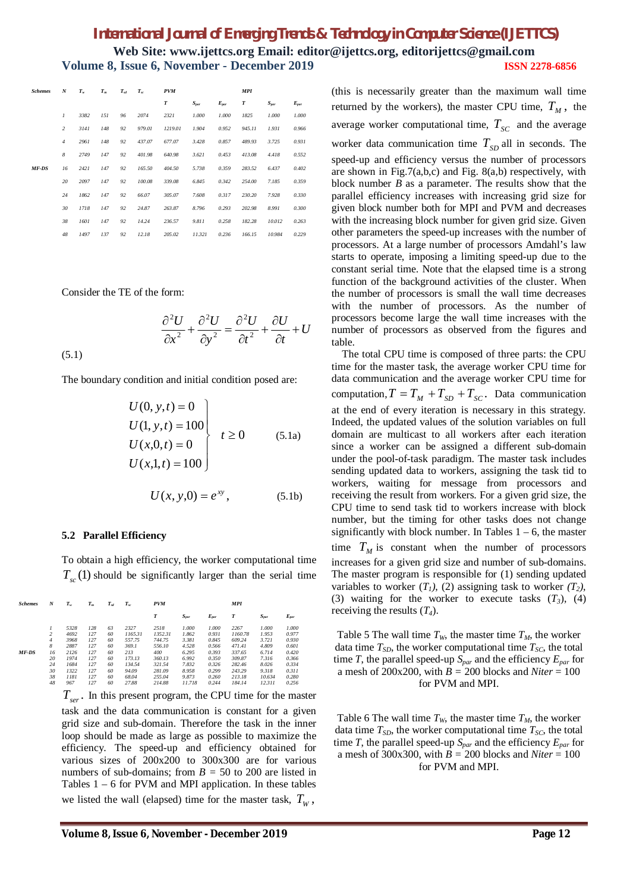| <b>Schemes</b> | N              | $T_{w}$ | $T_m$ | $T_{sd}$ | $T_{sc}$ | PVM     |           |           | MPI    |           |           |
|----------------|----------------|---------|-------|----------|----------|---------|-----------|-----------|--------|-----------|-----------|
|                |                |         |       |          |          | T       | $S_{par}$ | $E_{par}$ | T      | $S_{par}$ | $E_{par}$ |
|                | $\mathfrak{1}$ | 3382    | 151   | 96       | 2074     | 2321    | 1.000     | 1.000     | 1825   | 1.000     | 1.000     |
|                | 2              | 3141    | 148   | 92       | 979.01   | 1219.01 | 1.904     | 0.952     | 945.11 | 1.931     | 0.966     |
|                | $\overline{4}$ | 2961    | 148   | 92       | 437.07   | 677.07  | 3.428     | 0.857     | 489.93 | 3.725     | 0.931     |
|                | 8              | 2749    | 147   | 92       | 401.98   | 640.98  | 3.621     | 0.453     | 413.08 | 4.418     | 0.552     |
| MF-DS          | 16             | 2421    | 147   | 92       | 165.50   | 404.50  | 5.738     | 0.359     | 283.52 | 6.437     | 0.402     |
|                | 20             | 2097    | 147   | 92       | 100.08   | 339.08  | 6.845     | 0.342     | 254.00 | 7.185     | 0.359     |
|                | 24             | 1862    | 147   | 92       | 66.07    | 305.07  | 7.608     | 0.317     | 230.20 | 7.928     | 0.330     |
|                | 30             | 1718    | 147   | 92       | 24.87    | 263.87  | 8.796     | 0.293     | 202.98 | 8.991     | 0.300     |
|                | 38             | 1601    | 147   | 92       | 14.24    | 236.57  | 9.811     | 0.258     | 182.28 | 10.012    | 0.263     |
|                | 48             | 1497    | 137   | 92       | 12.18    | 205.02  | 11.321    | 0.236     | 166.15 | 10.984    | 0.229     |

Consider the TE of the form:

$$
\frac{\partial^2 U}{\partial x^2} + \frac{\partial^2 U}{\partial y^2} = \frac{\partial^2 U}{\partial t^2} + \frac{\partial U}{\partial t} + U
$$

(5.1)

The boundary condition and initial condition posed are:

$$
U(0, y, t) = 0
$$
  
\n
$$
U(1, y, t) = 100
$$
  
\n
$$
U(x, 0, t) = 0
$$
  
\n
$$
U(x, 1, t) = 100
$$
  
\n
$$
(5.1a)
$$

$$
U(x, y, 0) = e^{xy}, \t(5.1b)
$$

#### **5.2 Parallel Efficiency**

To obtain a high efficiency, the worker computational time  $T_{sc}(1)$  should be significantly larger than the serial time

| <b>Schemes</b> | N              | $T_{w}$ | $T_m$ | $T_{sd}$ | $T_{sc}$ | <b>PVM</b> |           |           | <b>MPI</b> |           |           |
|----------------|----------------|---------|-------|----------|----------|------------|-----------|-----------|------------|-----------|-----------|
|                |                |         |       |          |          | T          | $S_{par}$ | $E_{par}$ | T          | $S_{par}$ | $E_{par}$ |
|                |                | 5328    | 128   | 63       | 2327     | 2518       | 1.000     | 1.000     | 2267       | 1.000     | 1.000     |
|                | $\overline{2}$ | 4692    | 127   | 60       | 1165.31  | 1352.31    | 1.862     | 0.931     | 1160.78    | 1.953     | 0.977     |
|                | $\overline{4}$ | 3968    | 127   | 60       | 557.75   | 744.75     | 3.381     | 0.845     | 609.24     | 3.721     | 0.930     |
|                | 8              | 2887    | 127   | 60       | 369.1    | 556.10     | 4.528     | 0.566     | 471.41     | 4.809     | 0.601     |
| MF-DS          | 16             | 2126    | 127   | 60       | 213      | 400        | 6.295     | 0.393     | 337.65     | 6.714     | 0.420     |
|                | 20             | 1974    | 127   | 60       | 173.13   | 360.13     | 6.992     | 0.350     | 309.87     | 7.316     | 0.366     |
|                | 24             | 1684    | 127   | 60       | 134.54   | 321.54     | 7.832     | 0.326     | 282.46     | 8.026     | 0.334     |
|                | 30             | 1322    | 127   | 60       | 94.09    | 281.09     | 8.958     | 0.299     | 243.29     | 9.318     | 0.311     |
|                | 38             | 1181    | 127   | 60       | 68.04    | 255.04     | 9.873     | 0.260     | 213.18     | 10.634    | 0.280     |
|                | 48             | 967     | 127   | 60       | 27.88    | 214.88     | 11.718    | 0.244     | 184.14     | 12.311    | 0.256     |

 $T_{ser}$ . In this present program, the CPU time for the master task and the data communication is constant for a given grid size and sub-domain. Therefore the task in the inner loop should be made as large as possible to maximize the efficiency. The speed-up and efficiency obtained for various sizes of 200x200 to 300x300 are for various numbers of sub-domains; from  $B = 50$  to 200 are listed in Tables  $1 - 6$  for PVM and MPI application. In these tables we listed the wall (elapsed) time for the master task,  $T_w$ ,

(this is necessarily greater than the maximum wall time returned by the workers), the master CPU time,  $T_M$ , the average worker computational time,  $T_{SC}$  and the average worker data communication time  $T_{SD}$  all in seconds. The speed-up and efficiency versus the number of processors are shown in Fig.7(a,b,c) and Fig.  $8(a,b)$  respectively, with block number *B* as a parameter. The results show that the parallel efficiency increases with increasing grid size for given block number both for MPI and PVM and decreases with the increasing block number for given grid size. Given other parameters the speed-up increases with the number of processors. At a large number of processors Amdahl's law starts to operate, imposing a limiting speed-up due to the constant serial time. Note that the elapsed time is a strong function of the background activities of the cluster. When the number of processors is small the wall time decreases with the number of processors. As the number of processors become large the wall time increases with the number of processors as observed from the figures and table.

 The total CPU time is composed of three parts: the CPU time for the master task, the average worker CPU time for data communication and the average worker CPU time for computation,  $T = T_M + T_{SD} + T_{SC}$ . Data communication at the end of every iteration is necessary in this strategy. Indeed, the updated values of the solution variables on full domain are multicast to all workers after each iteration since a worker can be assigned a different sub-domain under the pool-of-task paradigm. The master task includes sending updated data to workers, assigning the task tid to workers, waiting for message from processors and receiving the result from workers. For a given grid size, the CPU time to send task tid to workers increase with block number, but the timing for other tasks does not change significantly with block number. In Tables  $1 - 6$ , the master time  $T_M$  is constant when the number of processors increases for a given grid size and number of sub-domains. The master program is responsible for (1) sending updated variables to worker  $(T_1)$ ,  $(2)$  assigning task to worker  $(T_2)$ , (3) waiting for the worker to execute tasks  $(T_3)$ , (4) receiving the results (*T4*).

Table 5 The wall time  $T_W$ , the master time  $T_M$ , the worker data time  $T_{SD}$ , the worker computational time  $T_{SC}$ , the total time *T*, the parallel speed-up *Spar* and the efficiency *Epar* for a mesh of 200x200, with *B =* 200 blocks and *Niter* = 100 for PVM and MPI.

Table 6 The wall time  $T_W$ , the master time  $T_M$ , the worker data time  $T_{SD}$ , the worker computational time  $T_{SC}$ , the total time *T*, the parallel speed-up *Spar* and the efficiency *Epar* for a mesh of 300x300, with *B =* 200 blocks and *Niter* = 100 for PVM and MPI.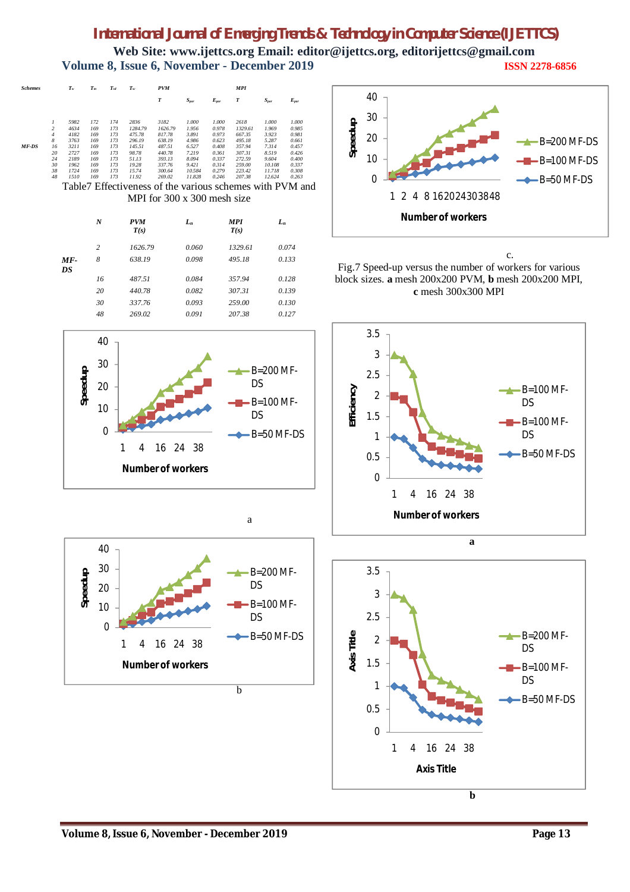**Web Site: www.ijettcs.org Email: editor@ijettcs.org, [editorijettcs@gmail.com](mailto:editorijettcs@gmail.com)  Volume 8, Issue 6, November - December 2019 ISSN 2278-6856**

| <b>Schemes</b> |                         | $T_{\rm w}$          | $T_m$             | $T_{sd}$          | $T_{sc}$                 | <b>PVM</b>                 |                         |                         | <b>MPI</b>                 |                         |                         |
|----------------|-------------------------|----------------------|-------------------|-------------------|--------------------------|----------------------------|-------------------------|-------------------------|----------------------------|-------------------------|-------------------------|
|                |                         |                      |                   |                   |                          | T                          | $S_{par}$               | $E_{par}$               | T                          | $S_{par}$               | $E_{par}$               |
|                | $\overline{\mathbf{c}}$ | 5982<br>4634         | 172<br>169        | 174<br>173        | 2836<br>1284.79          | 3182<br>1626.79            | 1.000<br>1.956          | 1.000<br>0.978          | 2618<br>1329.61            | 1.000<br>1.969          | 1.000<br>0.985          |
|                | $\overline{4}$<br>8     | 4182<br>3763         | 169<br>169        | 173<br>173        | 475.78<br>296.19         | 817.78<br>638.19           | 3.891<br>4.986          | 0.973<br>0.623          | 667.35<br>495.18           | 3.923<br>5.287          | 0.981<br>0.661          |
| MF-DS          | 16<br>20<br>24          | 3211<br>2727<br>2189 | 169<br>169<br>169 | 173<br>173<br>173 | 145.51<br>98.78<br>51.13 | 487.51<br>440.78<br>393.13 | 6.527<br>7.219<br>8.094 | 0.408<br>0.361<br>0.337 | 357.94<br>307.31<br>272.59 | 7.314<br>8.519<br>9.604 | 0.457<br>0.426<br>0.400 |
|                | 30<br>38                | 1962<br>1724         | 169<br>169        | 173<br>173        | 19.28<br>15.74           | 337.76<br>300.64           | 9.421<br>10.584         | 0.314<br>0.279          | 259.00<br>223.42           | 10.108<br>11.718        | 0.337<br>0.308          |
|                | 48                      | 1510                 | 169               | 173               | 11.92                    | 269.02                     | 11.828                  | 0.246                   | 207.38                     | 12.624                  | 0.263                   |

Table7 Effectiveness of the various schemes with PVM and MPI for 300 x 300 mesh size

|             | $\boldsymbol{N}$ | <b>PVM</b><br>T(s) | $L_n$ | <b>MPI</b><br>T(s) | $L_n$ |
|-------------|------------------|--------------------|-------|--------------------|-------|
|             | 2                | 1626.79            | 0.060 | 1329.61            | 0.074 |
| $MF-$<br>DS | 8                | 638.19             | 0.098 | 495.18             | 0.133 |
|             | 16               | 487.51             | 0.084 | 357.94             | 0.128 |
|             | 20               | 440.78             | 0.082 | 307.31             | 0.139 |
|             | 30               | 337.76             | 0.093 | 259.00             | 0.130 |
|             | 48               | 269.02             | 0.091 | 207.38             | 0.127 |





a



c. Fig.7 Speed-up versus the number of workers for various block sizes. **a** mesh 200x200 PVM, **b** mesh 200x200 MPI, **c** mesh 300x300 MPI





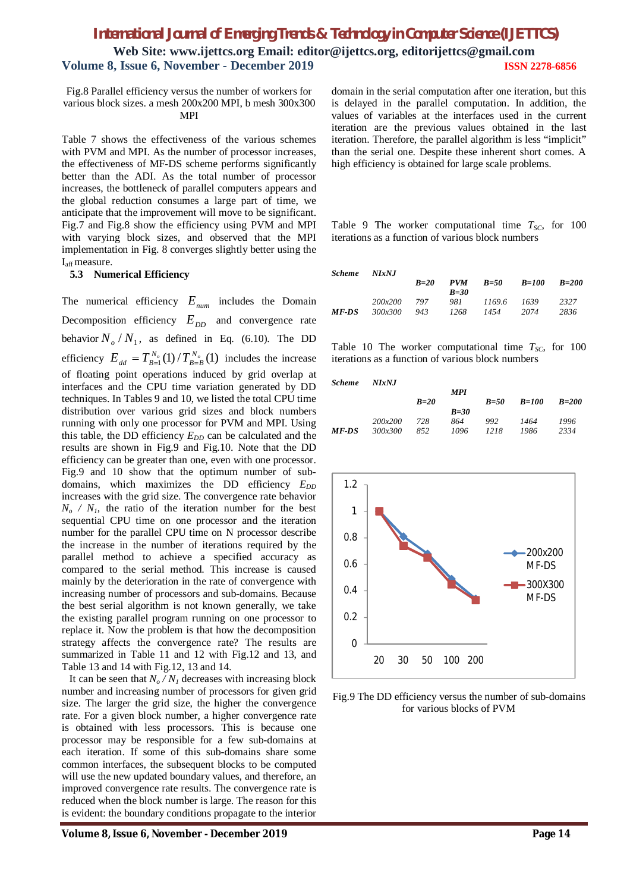**Web Site: www.ijettcs.org Email: editor@ijettcs.org, [editorijettcs@gmail.com](mailto:editorijettcs@gmail.com)  Volume 8, Issue 6, November - December 2019 ISSN 2278-6856**

Fig.8 Parallel efficiency versus the number of workers for various block sizes. a mesh 200x200 MPI, b mesh 300x300 MPI

Table 7 shows the effectiveness of the various schemes with PVM and MPI. As the number of processor increases, the effectiveness of MF-DS scheme performs significantly better than the ADI. As the total number of processor increases, the bottleneck of parallel computers appears and the global reduction consumes a large part of time, we anticipate that the improvement will move to be significant. Fig.7 and Fig.8 show the efficiency using PVM and MPI with varying block sizes, and observed that the MPI implementation in Fig. 8 converges slightly better using the I<sub>aff</sub> measure.

#### **5.3 Numerical Efficiency**

The numerical efficiency *Enum* includes the Domain Decomposition efficiency  $E_{DD}$  and convergence rate behavior  $N_o/N_1$ , as defined in Eq. (6.10). The DD efficiency  $E_{dd} = T_{B=1}^{N_o}(1) / T_{B=B}^{N_o}(1)$  $E_{dd} = T_{B=1}^{N_o}(1)/T_{B=B}^{N_o}(1)$  includes the increase of floating point operations induced by grid overlap at interfaces and the CPU time variation generated by DD techniques. In Tables 9 and 10, we listed the total CPU time distribution over various grid sizes and block numbers running with only one processor for PVM and MPI. Using this table, the DD efficiency  $E_{DD}$  can be calculated and the results are shown in Fig.9 and Fig.10. Note that the DD efficiency can be greater than one, even with one processor. Fig.9 and 10 show that the optimum number of subdomains, which maximizes the DD efficiency  $E_{DD}$ increases with the grid size. The convergence rate behavior  $N<sub>o</sub>$  */ N<sub>1</sub>*, the ratio of the iteration number for the best sequential CPU time on one processor and the iteration number for the parallel CPU time on N processor describe the increase in the number of iterations required by the parallel method to achieve a specified accuracy as compared to the serial method. This increase is caused mainly by the deterioration in the rate of convergence with increasing number of processors and sub-domains. Because the best serial algorithm is not known generally, we take the existing parallel program running on one processor to replace it. Now the problem is that how the decomposition strategy affects the convergence rate? The results are summarized in Table 11 and 12 with Fig.12 and 13, and Table 13 and 14 with Fig.12, 13 and 14.

It can be seen that  $N_o / N_l$  decreases with increasing block number and increasing number of processors for given grid size. The larger the grid size, the higher the convergence rate. For a given block number, a higher convergence rate is obtained with less processors. This is because one processor may be responsible for a few sub-domains at each iteration. If some of this sub-domains share some common interfaces, the subsequent blocks to be computed will use the new updated boundary values, and therefore, an improved convergence rate results. The convergence rate is reduced when the block number is large. The reason for this is evident: the boundary conditions propagate to the interior

domain in the serial computation after one iteration, but this is delayed in the parallel computation. In addition, the values of variables at the interfaces used in the current iteration are the previous values obtained in the last iteration. Therefore, the parallel algorithm is less "implicit" than the serial one. Despite these inherent short comes. A high efficiency is obtained for large scale problems.

Table 9 The worker computational time  $T_{SC}$ , for 100 iterations as a function of various block numbers

| NIxNJ   |        |            |          |       |             |
|---------|--------|------------|----------|-------|-------------|
|         | $B=20$ | <b>PVM</b> | $B = 50$ | B=100 | $B=200$     |
|         |        | $B=30$     |          |       |             |
| 200x200 | - 797  | 981        |          |       | 2327        |
| 300x300 | 943    | 1268       | 1454     | 2074  | 2836        |
|         |        |            |          |       | 1169.6 1639 |

Table 10 The worker computational time  $T_{SC}$ , for 100 iterations as a function of various block numbers

| <b>Scheme</b> | <b>NIxNJ</b> |
|---------------|--------------|
|---------------|--------------|

|                |        | MPI    |        |         |         |
|----------------|--------|--------|--------|---------|---------|
|                | $B=20$ |        | $B=50$ | $B=100$ | $B=200$ |
|                |        | $B=30$ |        |         |         |
| 200x200        | 728    | 864    | 992    | 1464    | 1996    |
| <i>300x300</i> | 852    | 1096   | 1218   | 1986    | 2334    |
|                |        |        |        |         |         |



Fig.9 The DD efficiency versus the number of sub-domains for various blocks of PVM

**Volume 8, Issue 6, November - December 2019 Page 14**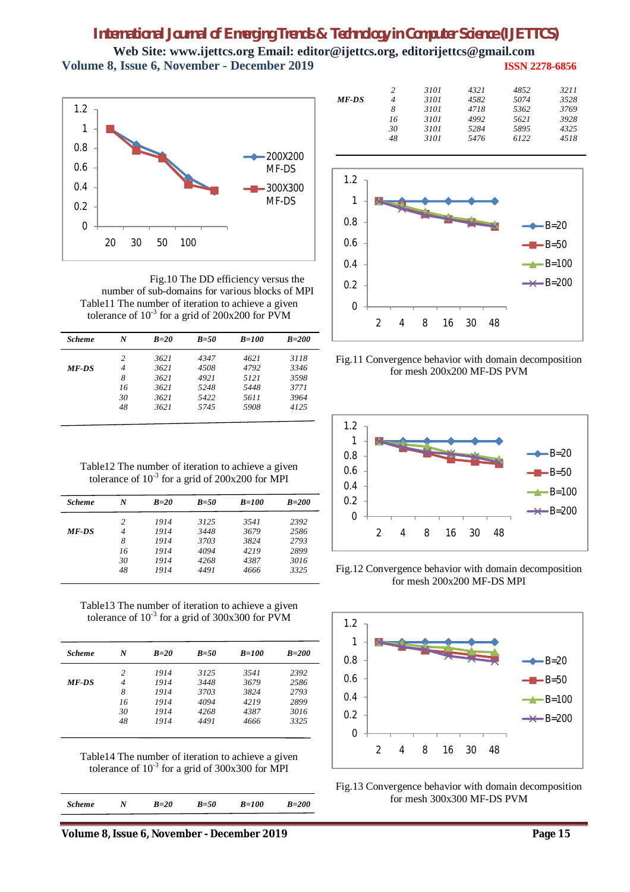0

1.2

**Web Site: www.ijettcs.org Email: editor@ijettcs.org, [editorijettcs@gmail.com](mailto:editorijettcs@gmail.com)  Volume 8, Issue 6, November - December 2019 ISSN 2278-6856**



Fig.10 The DD efficiency versus the number of sub-domains for various blocks of MPI Table11 The number of iteration to achieve a given tolerance of  $10^{-3}$  for a grid of 200x200 for PVM

| <b>Scheme</b> | N              | $B=20$ | $B=50$ | $B=100$ | $B=200$ |
|---------------|----------------|--------|--------|---------|---------|
|               | 2              | 3621   | 4347   | 4621    | 3118    |
| <b>MF-DS</b>  | $\overline{4}$ | 3621   | 4508   | 4792    | 3346    |
|               | 8              | 3621   | 4921   | 5121    | 3598    |
|               | 16             | 3621   | 5248   | 5448    | 3771    |
|               | 30             | 3621   | 5422   | 5611    | 3964    |
|               | 48             | 3621   | 5745   | 5908    | 4125    |

0.2 0.4 0.6 0.8 1  $-B=20$  $\blacksquare$ -B=50  $-B=100$  $\bigstar$ -B=200

*2 3101 4321 4852 3211*

 *3101 4718 5362 3769 3101 4992 5621 3928 3101 5284 5895 4325 3101 5476 6122 4518*

*MF-DS 4 3101 4582 5074 3528*



2 4 8 16 30 48



tolerance of  $10^{-3}$  for a grid of 200x200 for MPI *Scheme N B=20 B=50 B=100 B=200*

| ocneme       | $\cdots$       | $12 - 20$ | $11 - 111$ | $11 - 1111$ | <i>11-400</i> |
|--------------|----------------|-----------|------------|-------------|---------------|
|              | 2              | 1914      | 3125       | 3541        | 2392          |
| <b>MF-DS</b> | $\overline{4}$ | 1914      | 3448       | 3679        | 2586          |
|              | 8              | 1914      | 3703       | 3824        | 2793          |
|              | 16             | 1914      | 4094       | 4219        | 2899          |
|              | 30             | 1914      | 4268       | 4387        | 3016          |
|              | 48             | 1914      | 4491       | 4666        | 3325          |
|              |                |           |            |             |               |

Table12 The number of iteration to achieve a given

Table13 The number of iteration to achieve a given tolerance of  $10^{-3}$  for a grid of 300x300 for PVM

| <b>Scheme</b> | N              | $B=20$ | $B=50$ | $B=100$ | $B=200$ |
|---------------|----------------|--------|--------|---------|---------|
|               | 2              | 1914   | 3125   | 3541    | 2392    |
| <b>MF-DS</b>  | $\overline{4}$ | 1914   | 3448   | 3679    | 2586    |
|               | 8              | 1914   | 3703   | 3824    | 2793    |
|               | 16             | 1914   | 4094   | 4219    | 2899    |
|               | 30             | 1914   | 4268   | 4387    | 3016    |
|               | 48             | 1914   | 4491   | 4666    | 3325    |

Table14 The number of iteration to achieve a given tolerance of  $10^{-3}$  for a grid of 300x300 for MPI

| <b>Scheme</b> | $\mathcal{N}$ | $B=20$ | $B=50$ | <i>B=100</i> | $B=200$ |
|---------------|---------------|--------|--------|--------------|---------|
|               |               |        |        |              |         |

**Volume 8, Issue 6, November - December 2019 Page 15**

Fig.12 Convergence behavior with domain decomposition for mesh 200x200 MF-DS MPI



Fig.13 Convergence behavior with domain decomposition for mesh 300x300 MF-DS PVM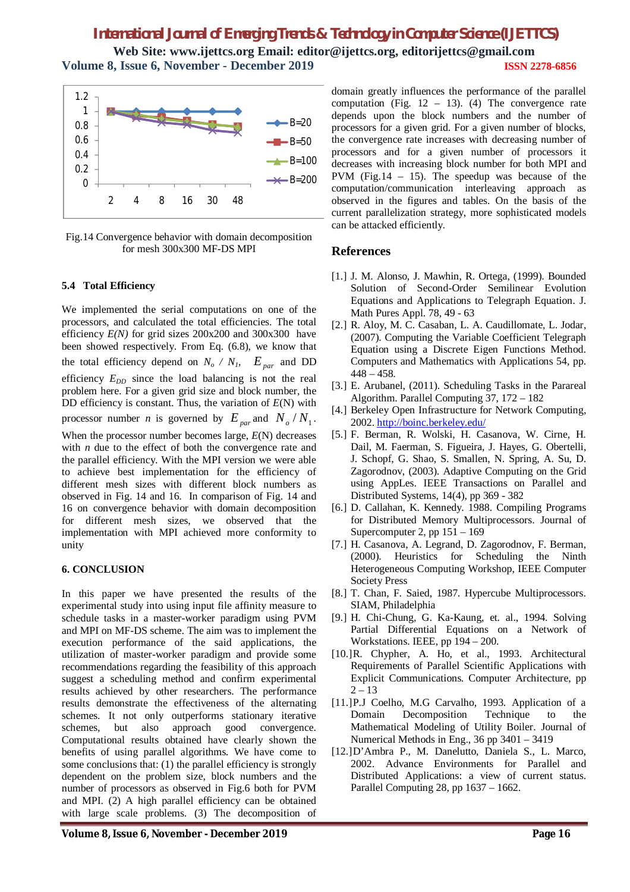**Web Site: www.ijettcs.org Email: editor@ijettcs.org, [editorijettcs@gmail.com](mailto:editorijettcs@gmail.com)  Volume 8, Issue 6, November - December 2019 ISSN 2278-6856**



Fig.14 Convergence behavior with domain decomposition for mesh 300x300 MF-DS MPI

#### **5.4 Total Efficiency**

We implemented the serial computations on one of the processors, and calculated the total efficiencies. The total efficiency *E(N)* for grid sizes 200x200 and 300x300 have been showed respectively. From Eq. (6.8), we know that the total efficiency depend on  $N_o / N_I$ ,  $E_{par}$  and DD efficiency  $E_{DD}$  since the load balancing is not the real problem here. For a given grid size and block number, the DD efficiency is constant. Thus, the variation of *E*(N) with processor number *n* is governed by  $E_{par}$  and  $N_o/N_1$ .

When the processor number becomes large, *E*(N) decreases with *n* due to the effect of both the convergence rate and the parallel efficiency. With the MPI version we were able to achieve best implementation for the efficiency of different mesh sizes with different block numbers as observed in Fig. 14 and 16. In comparison of Fig. 14 and 16 on convergence behavior with domain decomposition for different mesh sizes, we observed that the implementation with MPI achieved more conformity to unity

#### **6. CONCLUSION**

In this paper we have presented the results of the experimental study into using input file affinity measure to schedule tasks in a master-worker paradigm using PVM and MPI on MF-DS scheme. The aim was to implement the execution performance of the said applications, the utilization of master-worker paradigm and provide some recommendations regarding the feasibility of this approach suggest a scheduling method and confirm experimental results achieved by other researchers. The performance results demonstrate the effectiveness of the alternating schemes. It not only outperforms stationary iterative schemes, but also approach good convergence. Computational results obtained have clearly shown the benefits of using parallel algorithms. We have come to some conclusions that: (1) the parallel efficiency is strongly dependent on the problem size, block numbers and the number of processors as observed in Fig.6 both for PVM and MPI. (2) A high parallel efficiency can be obtained with large scale problems. (3) The decomposition of

domain greatly influences the performance of the parallel computation (Fig.  $12 - 13$ ). (4) The convergence rate depends upon the block numbers and the number of processors for a given grid. For a given number of blocks, the convergence rate increases with decreasing number of processors and for a given number of processors it decreases with increasing block number for both MPI and PVM (Fig.14 – 15). The speedup was because of the computation/communication interleaving approach as observed in the figures and tables. On the basis of the current parallelization strategy, more sophisticated models can be attacked efficiently.

#### **References**

- [1.] J. M. Alonso, J. Mawhin, R. Ortega, (1999). Bounded Solution of Second-Order Semilinear Evolution Equations and Applications to Telegraph Equation. J. Math Pures Appl. 78, 49 - 63
- [2.] R. Aloy, M. C. Casaban, L. A. Caudillomate, L. Jodar, (2007). Computing the Variable Coefficient Telegraph Equation using a Discrete Eigen Functions Method. Computers and Mathematics with Applications 54, pp.  $448 - 458$ .
- [3.] E. Arubanel, (2011). Scheduling Tasks in the Parareal Algorithm. Parallel Computing 37, 172 – 182
- [4.] Berkeley Open Infrastructure for Network Computing, 2002.<http://boinc.berkeley.edu/>
- [5.] F. Berman, R. Wolski, H. Casanova, W. Cirne, H. Dail, M. Faerman, S. Figueira, J. Hayes, G. Obertelli, J. Schopf, G. Shao, S. Smallen, N. Spring, A. Su, D. Zagorodnov, (2003). Adaptive Computing on the Grid using AppLes. IEEE Transactions on Parallel and Distributed Systems, 14(4), pp 369 - 382
- [6.] D. Callahan, K. Kennedy. 1988. Compiling Programs for Distributed Memory Multiprocessors. Journal of Supercomputer 2, pp 151 – 169
- [7.] H. Casanova, A. Legrand, D. Zagorodnov, F. Berman, (2000). Heuristics for Scheduling the Ninth Heterogeneous Computing Workshop, IEEE Computer Society Press
- [8.] T. Chan, F. Saied, 1987. Hypercube Multiprocessors. SIAM, Philadelphia
- [9.] H. Chi-Chung, G. Ka-Kaung, et. al., 1994. Solving Partial Differential Equations on a Network of Workstations. IEEE, pp 194 – 200.
- [10.]R. Chypher, A. Ho, et al., 1993. Architectural Requirements of Parallel Scientific Applications with Explicit Communications. Computer Architecture, pp  $2 - 13$
- [11.]P.J Coelho, M.G Carvalho, 1993. Application of a Domain Decomposition Technique to the Mathematical Modeling of Utility Boiler. Journal of Numerical Methods in Eng., 36 pp 3401 – 3419
- [12.]D'Ambra P., M. Danelutto, Daniela S., L. Marco, 2002. Advance Environments for Parallel and Distributed Applications: a view of current status. Parallel Computing 28, pp 1637 – 1662.